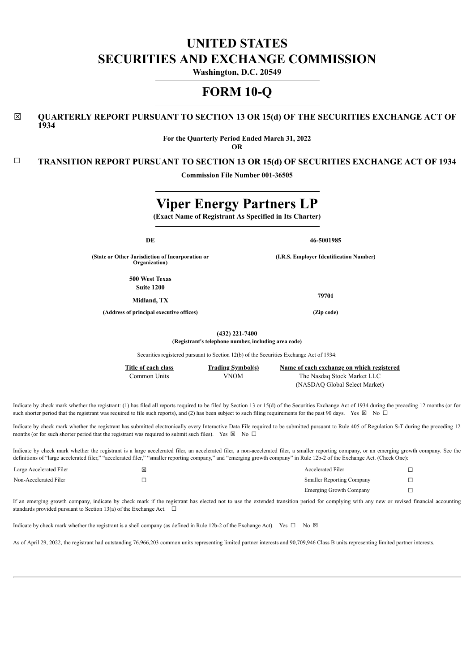# **UNITED STATES SECURITIES AND EXCHANGE COMMISSION**

**Washington, D.C. 20549**

# **FORM 10-Q**

☒ **QUARTERLY REPORT PURSUANT TO SECTION 13 OR 15(d) OF THE SECURITIES EXCHANGE ACT OF 1934**

**For the Quarterly Period Ended March 31, 2022**

**OR**

☐ **TRANSITION REPORT PURSUANT TO SECTION 13 OR 15(d) OF SECURITIES EXCHANGE ACT OF 1934**

**Commission File Number 001-36505**

# **Viper Energy Partners LP**

**(Exact Name of Registrant As Specified in Its Charter)**

**DE 46-5001985 (I.R.S. Employer Identification Number)**

**(State or Other Jurisdiction of Incorporation or Organization)**

> **500 West Texas Suite 1200**

**Midland, TX <sup>79701</sup>**

**(Address of principal executive offices) (Zip code)**

**(432) 221-7400**

**(Registrant's telephone number, including area code)**

Securities registered pursuant to Section 12(b) of the Securities Exchange Act of 1934:

| Title of each class | <b>Trading Symbol(s)</b> | Name of each exchange on which registered |
|---------------------|--------------------------|-------------------------------------------|
| Common Units        | VNOM                     | The Nasdaq Stock Market LLC               |
|                     |                          | (NASDAO Global Select Market)             |

Indicate by check mark whether the registrant: (1) has filed all reports required to be filed by Section 13 or 15(d) of the Securities Exchange Act of 1934 during the preceding 12 months (or for such shorter period that the registrant was required to file such reports), and (2) has been subject to such filing requirements for the past 90 days. Yes  $\boxtimes$  No  $\Box$ 

Indicate by check mark whether the registrant has submitted electronically every Interactive Data File required to be submitted pursuant to Rule 405 of Regulation S-T during the preceding 12 months (or for such shorter period that the registrant was required to submit such files). Yes  $\boxtimes$  No  $\Box$ 

Indicate by check mark whether the registrant is a large accelerated filer, an accelerated filer, a non-accelerated filer, a smaller reporting company, or an emerging growth company. See the definitions of "large accelerated filer," "accelerated filer," "smaller reporting company," and "emerging growth company" in Rule 12b-2 of the Exchange Act. (Check One):

| Large Accelerated Filer | 区 | <b>Accelerated Filer</b>         |  |
|-------------------------|---|----------------------------------|--|
| Non-Accelerated Filer   |   | <b>Smaller Reporting Company</b> |  |
|                         |   | <b>Emerging Growth Company</b>   |  |

If an emerging growth company, indicate by check mark if the registrant has elected not to use the extended transition period for complying with any new or revised financial accounting standards provided pursuant to Section 13(a) of the Exchange Act.  $\Box$ 

Indicate by check mark whether the registrant is a shell company (as defined in Rule 12b-2 of the Exchange Act). Yes  $\Box$  No  $\boxtimes$ 

<span id="page-0-0"></span>As of April 29, 2022, the registrant had outstanding 76,966,203 common units representing limited partner interests and 90,709,946 Class B units representing limited partner interests.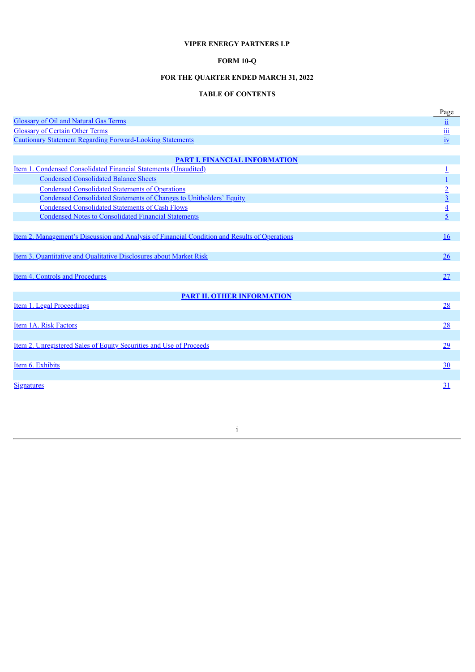# **VIPER ENERGY PARTNERS LP**

# **FORM 10-Q**

# **FOR THE QUARTER ENDED MARCH 31, 2022**

# **TABLE OF CONTENTS**

|                                                                                               | Page                         |
|-----------------------------------------------------------------------------------------------|------------------------------|
| <b>Glossary of Oil and Natural Gas Terms</b>                                                  | $\underline{\textbf{ii}}$    |
| <b>Glossary of Certain Other Terms</b>                                                        | $\underline{\text{iii}}$     |
| <b>Cautionary Statement Regarding Forward-Looking Statements</b>                              | $\underline{i}\underline{v}$ |
|                                                                                               |                              |
| <b>PART I. FINANCIAL INFORMATION</b>                                                          |                              |
| Item 1. Condensed Consolidated Financial Statements (Unaudited)                               |                              |
| <b>Condensed Consolidated Balance Sheets</b>                                                  | $\mathbf 1$                  |
| <b>Condensed Consolidated Statements of Operations</b>                                        |                              |
| <b>Condensed Consolidated Statements of Changes to Unitholders' Equity</b>                    | $\frac{2}{3}$                |
| <b>Condensed Consolidated Statements of Cash Flows</b>                                        | $\overline{4}$               |
| <b>Condensed Notes to Consolidated Financial Statements</b>                                   | $\overline{5}$               |
|                                                                                               |                              |
| Item 2. Management's Discussion and Analysis of Financial Condition and Results of Operations | 16                           |
|                                                                                               |                              |
| <u>Item 3. Quantitative and Qualitative Disclosures about Market Risk</u>                     | 26                           |
|                                                                                               |                              |
| Item 4. Controls and Procedures                                                               | 27                           |
|                                                                                               |                              |
| <b>PART II. OTHER INFORMATION</b>                                                             |                              |
| Item 1. Legal Proceedings                                                                     | 28                           |
|                                                                                               |                              |
| Item 1A. Risk Factors                                                                         | 28                           |
|                                                                                               |                              |
| Item 2. Unregistered Sales of Equity Securities and Use of Proceeds                           | $\overline{29}$              |
|                                                                                               |                              |
| Item 6. Exhibits                                                                              | 30                           |
|                                                                                               |                              |
| <b>Signatures</b>                                                                             | 31                           |
|                                                                                               |                              |

# <span id="page-1-0"></span>i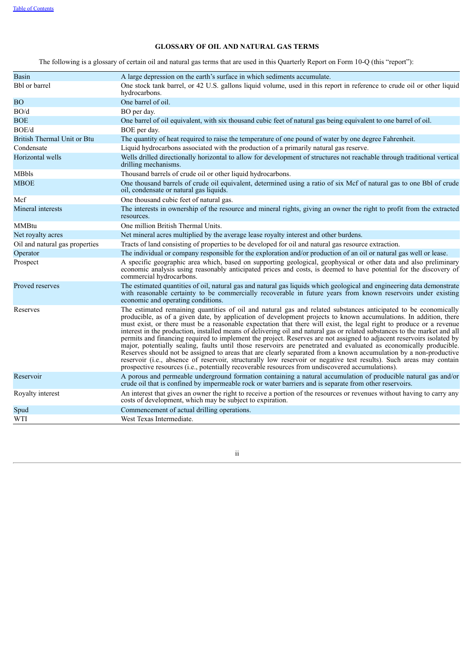# **GLOSSARY OF OIL AND NATURAL GAS TERMS**

The following is a glossary of certain oil and natural gas terms that are used in this Quarterly Report on Form 10-Q (this "report"):

| <b>Basin</b>                   | A large depression on the earth's surface in which sediments accumulate.                                                                                                                                                                                                                                                                                                                                                                                                                                                                                                                                                                                                                                                                                                                                                                                                                                                                                                                                                                                                                 |
|--------------------------------|------------------------------------------------------------------------------------------------------------------------------------------------------------------------------------------------------------------------------------------------------------------------------------------------------------------------------------------------------------------------------------------------------------------------------------------------------------------------------------------------------------------------------------------------------------------------------------------------------------------------------------------------------------------------------------------------------------------------------------------------------------------------------------------------------------------------------------------------------------------------------------------------------------------------------------------------------------------------------------------------------------------------------------------------------------------------------------------|
| Bbl or barrel                  | One stock tank barrel, or 42 U.S. gallons liquid volume, used in this report in reference to crude oil or other liquid<br>hydrocarbons.                                                                                                                                                                                                                                                                                                                                                                                                                                                                                                                                                                                                                                                                                                                                                                                                                                                                                                                                                  |
| <b>BO</b>                      | One barrel of oil.                                                                                                                                                                                                                                                                                                                                                                                                                                                                                                                                                                                                                                                                                                                                                                                                                                                                                                                                                                                                                                                                       |
| BO/d                           | BO per day.                                                                                                                                                                                                                                                                                                                                                                                                                                                                                                                                                                                                                                                                                                                                                                                                                                                                                                                                                                                                                                                                              |
| <b>BOE</b>                     | One barrel of oil equivalent, with six thousand cubic feet of natural gas being equivalent to one barrel of oil.                                                                                                                                                                                                                                                                                                                                                                                                                                                                                                                                                                                                                                                                                                                                                                                                                                                                                                                                                                         |
| BOE/d                          | BOE per day.                                                                                                                                                                                                                                                                                                                                                                                                                                                                                                                                                                                                                                                                                                                                                                                                                                                                                                                                                                                                                                                                             |
| British Thermal Unit or Btu    | The quantity of heat required to raise the temperature of one pound of water by one degree Fahrenheit.                                                                                                                                                                                                                                                                                                                                                                                                                                                                                                                                                                                                                                                                                                                                                                                                                                                                                                                                                                                   |
| Condensate                     | Liquid hydrocarbons associated with the production of a primarily natural gas reserve.                                                                                                                                                                                                                                                                                                                                                                                                                                                                                                                                                                                                                                                                                                                                                                                                                                                                                                                                                                                                   |
| Horizontal wells               | Wells drilled directionally horizontal to allow for development of structures not reachable through traditional vertical<br>drilling mechanisms.                                                                                                                                                                                                                                                                                                                                                                                                                                                                                                                                                                                                                                                                                                                                                                                                                                                                                                                                         |
| <b>MBbls</b>                   | Thousand barrels of crude oil or other liquid hydrocarbons.                                                                                                                                                                                                                                                                                                                                                                                                                                                                                                                                                                                                                                                                                                                                                                                                                                                                                                                                                                                                                              |
| <b>MBOE</b>                    | One thousand barrels of crude oil equivalent, determined using a ratio of six Mcf of natural gas to one Bbl of crude<br>oil, condensate or natural gas liquids.                                                                                                                                                                                                                                                                                                                                                                                                                                                                                                                                                                                                                                                                                                                                                                                                                                                                                                                          |
| Mcf                            | One thousand cubic feet of natural gas.                                                                                                                                                                                                                                                                                                                                                                                                                                                                                                                                                                                                                                                                                                                                                                                                                                                                                                                                                                                                                                                  |
| Mineral interests              | The interests in ownership of the resource and mineral rights, giving an owner the right to profit from the extracted<br>resources.                                                                                                                                                                                                                                                                                                                                                                                                                                                                                                                                                                                                                                                                                                                                                                                                                                                                                                                                                      |
| <b>MMBtu</b>                   | One million British Thermal Units.                                                                                                                                                                                                                                                                                                                                                                                                                                                                                                                                                                                                                                                                                                                                                                                                                                                                                                                                                                                                                                                       |
| Net royalty acres              | Net mineral acres multiplied by the average lease royalty interest and other burdens.                                                                                                                                                                                                                                                                                                                                                                                                                                                                                                                                                                                                                                                                                                                                                                                                                                                                                                                                                                                                    |
| Oil and natural gas properties | Tracts of land consisting of properties to be developed for oil and natural gas resource extraction.                                                                                                                                                                                                                                                                                                                                                                                                                                                                                                                                                                                                                                                                                                                                                                                                                                                                                                                                                                                     |
| Operator                       | The individual or company responsible for the exploration and/or production of an oil or natural gas well or lease.                                                                                                                                                                                                                                                                                                                                                                                                                                                                                                                                                                                                                                                                                                                                                                                                                                                                                                                                                                      |
| Prospect                       | A specific geographic area which, based on supporting geological, geophysical or other data and also preliminary<br>economic analysis using reasonably anticipated prices and costs, is deemed to have potential for the discovery of<br>commercial hydrocarbons.                                                                                                                                                                                                                                                                                                                                                                                                                                                                                                                                                                                                                                                                                                                                                                                                                        |
| Proved reserves                | The estimated quantities of oil, natural gas and natural gas liquids which geological and engineering data demonstrate<br>with reasonable certainty to be commercially recoverable in future years from known reservoirs under existing<br>economic and operating conditions.                                                                                                                                                                                                                                                                                                                                                                                                                                                                                                                                                                                                                                                                                                                                                                                                            |
| Reserves                       | The estimated remaining quantities of oil and natural gas and related substances anticipated to be economically<br>producible, as of a given date, by application of development projects to known accumulations. In addition, there<br>must exist, or there must be a reasonable expectation that there will exist, the legal right to produce or a revenue<br>interest in the production, installed means of delivering oil and natural gas or related substances to the market and all<br>permits and financing required to implement the project. Reserves are not assigned to adjacent reservoirs isolated by<br>major, potentially sealing, faults until those reservoirs are penetrated and evaluated as economically producible.<br>Reserves should not be assigned to areas that are clearly separated from a known accumulation by a non-productive<br>reservoir (i.e., absence of reservoir, structurally low reservoir or negative test results). Such areas may contain<br>prospective resources (i.e., potentially recoverable resources from undiscovered accumulations). |
| Reservoir                      | A porous and permeable underground formation containing a natural accumulation of producible natural gas and/or crude oil that is confined by impermeable rock or water barriers and is separate from other reservoirs.                                                                                                                                                                                                                                                                                                                                                                                                                                                                                                                                                                                                                                                                                                                                                                                                                                                                  |
| Royalty interest               | An interest that gives an owner the right to receive a portion of the resources or revenues without having to carry any<br>costs of development, which may be subject to expiration.                                                                                                                                                                                                                                                                                                                                                                                                                                                                                                                                                                                                                                                                                                                                                                                                                                                                                                     |
| Spud                           | Commencement of actual drilling operations.                                                                                                                                                                                                                                                                                                                                                                                                                                                                                                                                                                                                                                                                                                                                                                                                                                                                                                                                                                                                                                              |
| WTI                            | West Texas Intermediate.                                                                                                                                                                                                                                                                                                                                                                                                                                                                                                                                                                                                                                                                                                                                                                                                                                                                                                                                                                                                                                                                 |

<span id="page-2-0"></span>ii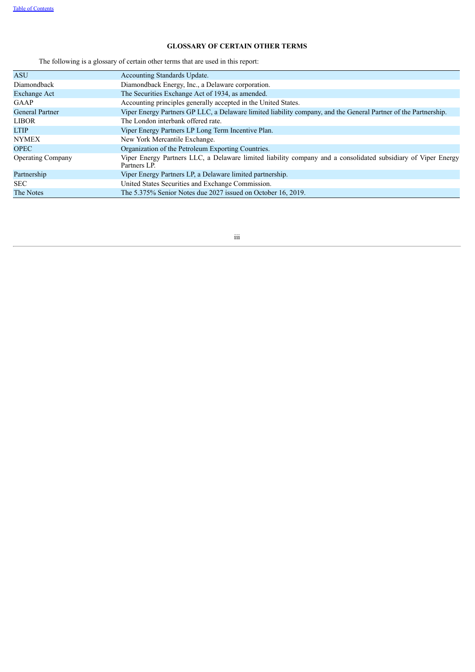# **GLOSSARY OF CERTAIN OTHER TERMS**

The following is a glossary of certain other terms that are used in this report:

<span id="page-3-0"></span>

| <b>ASU</b>               | Accounting Standards Update.                                                                                                  |
|--------------------------|-------------------------------------------------------------------------------------------------------------------------------|
| Diamondback              | Diamondback Energy, Inc., a Delaware corporation.                                                                             |
| <b>Exchange Act</b>      | The Securities Exchange Act of 1934, as amended.                                                                              |
| <b>GAAP</b>              | Accounting principles generally accepted in the United States.                                                                |
| <b>General Partner</b>   | Viper Energy Partners GP LLC, a Delaware limited liability company, and the General Partner of the Partnership.               |
| <b>LIBOR</b>             | The London interbank offered rate.                                                                                            |
| <b>LTIP</b>              | Viper Energy Partners LP Long Term Incentive Plan.                                                                            |
| <b>NYMEX</b>             | New York Mercantile Exchange.                                                                                                 |
| <b>OPEC</b>              | Organization of the Petroleum Exporting Countries.                                                                            |
| <b>Operating Company</b> | Viper Energy Partners LLC, a Delaware limited liability company and a consolidated subsidiary of Viper Energy<br>Partners LP. |
| Partnership              | Viper Energy Partners LP, a Delaware limited partnership.                                                                     |
| <b>SEC</b>               | United States Securities and Exchange Commission.                                                                             |
| The Notes                | The 5.375% Senior Notes due 2027 issued on October 16, 2019.                                                                  |

iii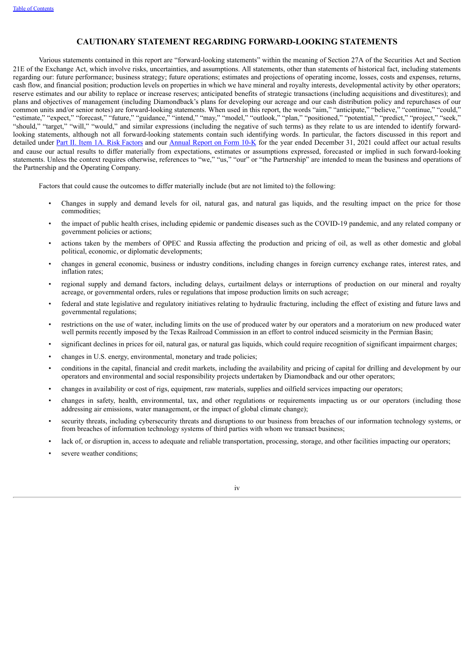# **CAUTIONARY STATEMENT REGARDING FORWARD-LOOKING STATEMENTS**

Various statements contained in this report are "forward-looking statements" within the meaning of Section 27A of the Securities Act and Section 21E of the Exchange Act, which involve risks, uncertainties, and assumptions. All statements, other than statements of historical fact, including statements regarding our: future performance; business strategy; future operations; estimates and projections of operating income, losses, costs and expenses, returns, cash flow, and financial position; production levels on properties in which we have mineral and royalty interests, developmental activity by other operators; reserve estimates and our ability to replace or increase reserves; anticipated benefits of strategic transactions (including acquisitions and divestitures); and plans and objectives of management (including Diamondback's plans for developing our acreage and our cash distribution policy and repurchases of our common units and/or senior notes) are forward-looking statements. When used in this report, the words "aim," "anticipate," "believe," "continue," "could," "estimate," "expect," "forecast," "future," "guidance," "intend," "may," "model," "outlook," "plan," "positioned," "potential," "predict," "project," "seek," "should," "target," "will," "would," and similar expressions (including the negative of such terms) as they relate to us are intended to identify forwardlooking statements, although not all forward-looking statements contain such identifying words. In particular, the factors discussed in this report and detailed under Part II. [Item](#page-33-1) 1A. Risk [Factors](#page-33-1) and our [Annual](http://www.sec.gov/ix?doc=/Archives/edgar/data/1602065/000160206522000008/vnom-20211231.htm#iad893e52d5434c44bb2b7248040ef83a_25) Report on Form 10-K for the year ended December 31, 2021 could affect our actual results and cause our actual results to differ materially from expectations, estimates or assumptions expressed, forecasted or implied in such forward-looking statements. Unless the context requires otherwise, references to "we," "us," "our" or "the Partnership" are intended to mean the business and operations of the Partnership and the Operating Company.

Factors that could cause the outcomes to differ materially include (but are not limited to) the following:

- Changes in supply and demand levels for oil, natural gas, and natural gas liquids, and the resulting impact on the price for those commodities;
- the impact of public health crises, including epidemic or pandemic diseases such as the COVID-19 pandemic, and any related company or government policies or actions;
- actions taken by the members of OPEC and Russia affecting the production and pricing of oil, as well as other domestic and global political, economic, or diplomatic developments;
- changes in general economic, business or industry conditions, including changes in foreign currency exchange rates, interest rates, and inflation rates:
- regional supply and demand factors, including delays, curtailment delays or interruptions of production on our mineral and royalty acreage, or governmental orders, rules or regulations that impose production limits on such acreage;
- federal and state legislative and regulatory initiatives relating to hydraulic fracturing, including the effect of existing and future laws and governmental regulations;
- restrictions on the use of water, including limits on the use of produced water by our operators and a moratorium on new produced water well permits recently imposed by the Texas Railroad Commission in an effort to control induced seismicity in the Permian Basin;
- significant declines in prices for oil, natural gas, or natural gas liquids, which could require recognition of significant impairment charges;
- changes in U.S. energy, environmental, monetary and trade policies;
- conditions in the capital, financial and credit markets, including the availability and pricing of capital for drilling and development by our operators and environmental and social responsibility projects undertaken by Diamondback and our other operators;
- changes in availability or cost of rigs, equipment, raw materials, supplies and oilfield services impacting our operators;
- changes in safety, health, environmental, tax, and other regulations or requirements impacting us or our operators (including those addressing air emissions, water management, or the impact of global climate change);
- security threats, including cybersecurity threats and disruptions to our business from breaches of our information technology systems, or from breaches of information technology systems of third parties with whom we transact business;
- lack of, or disruption in, access to adequate and reliable transportation, processing, storage, and other facilities impacting our operators;
- severe weather conditions;

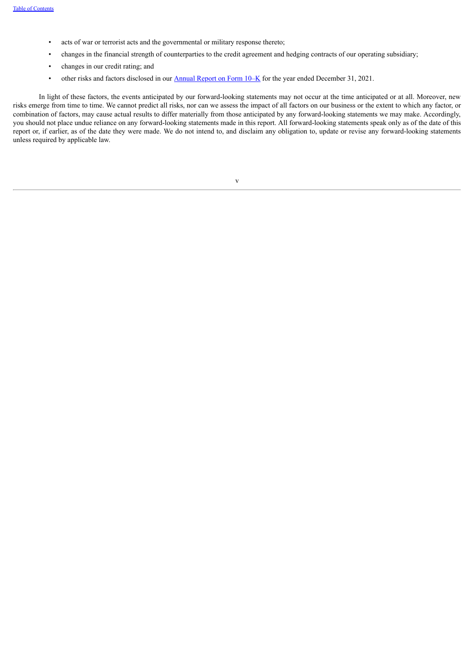- acts of war or terrorist acts and the governmental or military response thereto;
- changes in the financial strength of counterparties to the credit agreement and hedging contracts of our operating subsidiary;
- changes in our credit rating; and
- other risks and factors disclosed in our **[Annual](http://www.sec.gov/ix?doc=/Archives/edgar/data/1602065/000160206522000008/vnom-20211231.htm) Report on Form 10–K** for the year ended December 31, 2021.

<span id="page-5-0"></span>In light of these factors, the events anticipated by our forward-looking statements may not occur at the time anticipated or at all. Moreover, new risks emerge from time to time. We cannot predict all risks, nor can we assess the impact of all factors on our business or the extent to which any factor, or combination of factors, may cause actual results to differ materially from those anticipated by any forward-looking statements we may make. Accordingly, you should not place undue reliance on any forward-looking statements made in this report. All forward-looking statements speak only as of the date of this report or, if earlier, as of the date they were made. We do not intend to, and disclaim any obligation to, update or revise any forward-looking statements unless required by applicable law.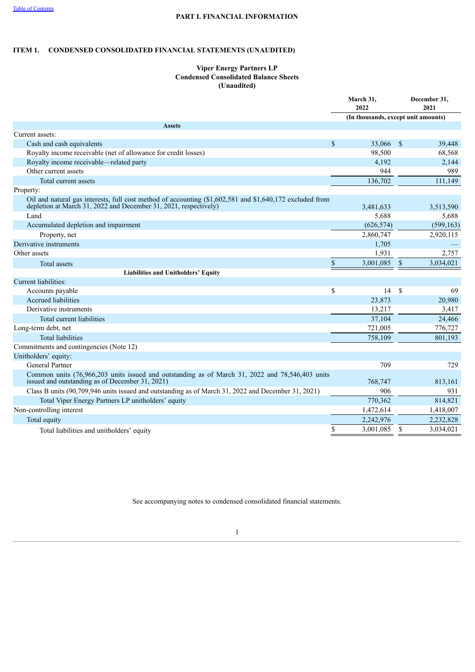# **PART I. FINANCIAL INFORMATION**

# <span id="page-6-1"></span><span id="page-6-0"></span>**ITEM 1. CONDENSED CONSOLIDATED FINANCIAL STATEMENTS (UNAUDITED)**

# **Viper Energy Partners LP Condensed Consolidated Balance Sheets (Unaudited)**

<span id="page-6-2"></span>

|                                                                                                                                                    | March 31,<br>2022 | December 31,<br>2021                   |
|----------------------------------------------------------------------------------------------------------------------------------------------------|-------------------|----------------------------------------|
|                                                                                                                                                    |                   | (In thousands, except unit amounts)    |
| <b>Assets</b>                                                                                                                                      |                   |                                        |
| Current assets:                                                                                                                                    |                   |                                        |
| \$<br>Cash and cash equivalents                                                                                                                    | 33,066            | 39,448<br><sup>\$</sup>                |
| Royalty income receivable (net of allowance for credit losses)                                                                                     | 98,500            | 68,568                                 |
| Royalty income receivable—related party                                                                                                            | 4,192             | 2,144                                  |
| Other current assets                                                                                                                               | 944               | 989                                    |
| Total current assets                                                                                                                               | 136,702           | 111,149                                |
| Property:                                                                                                                                          |                   |                                        |
| Oil and natural gas interests, full cost method of accounting $(\$1,602,581$ and $\$1,640,172$ excluded from                                       |                   |                                        |
| depletion at March 31, 2022 and December 31, 2021, respectively)                                                                                   | 3,481,633         | 3,513,590                              |
| Land                                                                                                                                               | 5,688             | 5,688                                  |
| Accumulated depletion and impairment                                                                                                               | (626, 574)        | (599, 163)                             |
| Property, net                                                                                                                                      | 2,860,747         | 2,920,115                              |
| Derivative instruments                                                                                                                             | 1,705             |                                        |
| Other assets                                                                                                                                       | 1,931             | 2,757                                  |
| \$<br><b>Total assets</b>                                                                                                                          | 3,001,085         | $\boldsymbol{\mathsf{S}}$<br>3,034,021 |
| <b>Liabilities and Unitholders' Equity</b>                                                                                                         |                   |                                        |
| Current liabilities:                                                                                                                               |                   |                                        |
| \$<br>Accounts payable                                                                                                                             | 14                | -\$<br>69                              |
| <b>Accrued</b> liabilities                                                                                                                         | 23,873            | 20,980                                 |
| Derivative instruments                                                                                                                             | 13,217            | 3,417                                  |
| Total current liabilities                                                                                                                          | 37,104            | 24,466                                 |
| Long-term debt, net                                                                                                                                | 721,005           | 776,727                                |
| <b>Total liabilities</b>                                                                                                                           | 758,109           | 801,193                                |
| Commitments and contingencies (Note 12)                                                                                                            |                   |                                        |
| Unitholders' equity:                                                                                                                               |                   |                                        |
| <b>General Partner</b>                                                                                                                             | 709               | 729                                    |
| Common units (76,966,203 units issued and outstanding as of March 31, 2022 and 78,546,403 units<br>issued and outstanding as of December 31, 2021) | 768,747           | 813,161                                |
| Class B units (90,709,946 units issued and outstanding as of March 31, 2022 and December 31, 2021)                                                 | 906               | 931                                    |
| Total Viper Energy Partners LP unitholders' equity                                                                                                 | 770,362           | 814,821                                |
| Non-controlling interest                                                                                                                           | 1,472,614         | 1,418,007                              |
| Total equity                                                                                                                                       | 2,242,976         | 2,232,828                              |
| \$<br>Total liabilities and unitholders' equity                                                                                                    | 3,001,085         | $\mathcal{S}$<br>3,034,021             |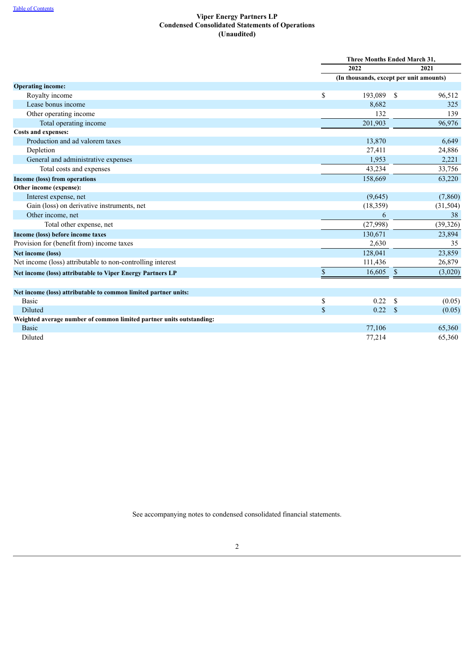## **Viper Energy Partners LP Condensed Consolidated Statements of Operations (Unaudited)**

<span id="page-7-0"></span>

|                                                                      |             | <b>Three Months Ended March 31,</b>     |                    |           |  |
|----------------------------------------------------------------------|-------------|-----------------------------------------|--------------------|-----------|--|
|                                                                      |             | 2022                                    |                    | 2021      |  |
|                                                                      |             | (In thousands, except per unit amounts) |                    |           |  |
| <b>Operating income:</b>                                             |             |                                         |                    |           |  |
| Royalty income                                                       | \$          | 193,089                                 | $\mathcal{S}$      | 96,512    |  |
| Lease bonus income                                                   |             | 8,682                                   |                    | 325       |  |
| Other operating income                                               |             | 132                                     |                    | 139       |  |
| Total operating income                                               |             | 201,903                                 |                    | 96,976    |  |
| <b>Costs and expenses:</b>                                           |             |                                         |                    |           |  |
| Production and ad valorem taxes                                      |             | 13,870                                  |                    | 6,649     |  |
| Depletion                                                            |             | 27,411                                  |                    | 24,886    |  |
| General and administrative expenses                                  |             | 1,953                                   |                    | 2,221     |  |
| Total costs and expenses                                             |             | 43,234                                  |                    | 33,756    |  |
| <b>Income (loss) from operations</b>                                 |             | 158,669                                 |                    | 63,220    |  |
| Other income (expense):                                              |             |                                         |                    |           |  |
| Interest expense, net                                                |             | (9,645)                                 |                    | (7,860)   |  |
| Gain (loss) on derivative instruments, net                           |             | (18, 359)                               |                    | (31, 504) |  |
| Other income, net                                                    |             | 6                                       |                    | 38        |  |
| Total other expense, net                                             |             | (27,998)                                |                    | (39, 326) |  |
| Income (loss) before income taxes                                    |             | 130,671                                 |                    | 23,894    |  |
| Provision for (benefit from) income taxes                            |             | 2,630                                   |                    | 35        |  |
| Net income (loss)                                                    |             | 128,041                                 |                    | 23,859    |  |
| Net income (loss) attributable to non-controlling interest           |             | 111,436                                 |                    | 26,879    |  |
| Net income (loss) attributable to Viper Energy Partners LP           | $\mathbf S$ | 16,605                                  | <sup>\$</sup>      | (3,020)   |  |
|                                                                      |             |                                         |                    |           |  |
| Net income (loss) attributable to common limited partner units:      |             |                                         |                    |           |  |
| <b>Basic</b>                                                         | \$          | 0.22                                    | <sup>\$</sup>      | (0.05)    |  |
| Diluted                                                              | $\mathbf S$ | 0.22                                    | $\mathbf{\hat{s}}$ | (0.05)    |  |
| Weighted average number of common limited partner units outstanding: |             |                                         |                    |           |  |
| <b>Basic</b>                                                         |             | 77,106                                  |                    | 65,360    |  |
| Diluted                                                              |             | 77,214                                  |                    | 65,360    |  |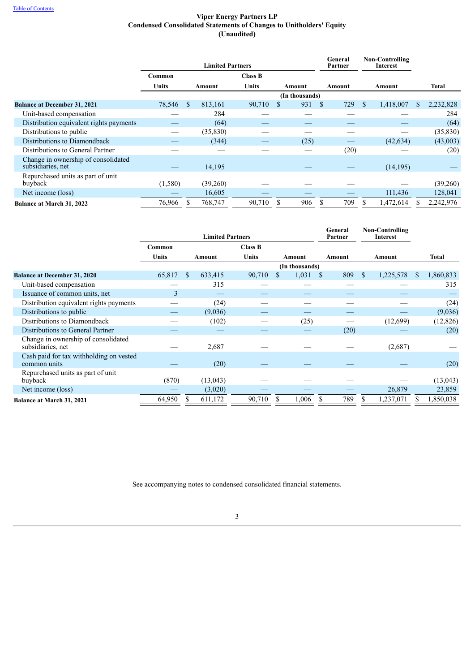# **Viper Energy Partners LP Condensed Consolidated Statements of Changes to Unitholders' Equity (Unaudited)**

|                                                          |         |               | <b>Limited Partners</b> |                |     |                |               | General<br>Partner |              | <b>Non-Controlling</b><br>Interest |              |
|----------------------------------------------------------|---------|---------------|-------------------------|----------------|-----|----------------|---------------|--------------------|--------------|------------------------------------|--------------|
|                                                          | Common  |               |                         | <b>Class B</b> |     |                |               |                    |              |                                    |              |
|                                                          | Units   |               | Amount                  | <b>Units</b>   |     | Amount         |               | Amount             |              | Amount                             | <b>Total</b> |
|                                                          |         |               |                         |                |     | (In thousands) |               |                    |              |                                    |              |
| <b>Balance at December 31, 2021</b>                      | 78,546  | <sup>\$</sup> | 813,161                 | 90,710         | \$. | 931            | <sup>\$</sup> | 729                | <sup>S</sup> | 1,418,007                          | 2,232,828    |
| Unit-based compensation                                  |         |               | 284                     |                |     |                |               |                    |              |                                    | 284          |
| Distribution equivalent rights payments                  |         |               | (64)                    |                |     |                |               |                    |              |                                    | (64)         |
| Distributions to public                                  |         |               | (35, 830)               |                |     |                |               |                    |              |                                    | (35,830)     |
| Distributions to Diamondback                             |         |               | (344)                   |                |     | (25)           |               |                    |              | (42, 634)                          | (43,003)     |
| Distributions to General Partner                         |         |               |                         |                |     |                |               | (20)               |              |                                    | (20)         |
| Change in ownership of consolidated<br>subsidiaries, net |         |               | 14,195                  |                |     |                |               |                    |              | (14, 195)                          |              |
| Repurchased units as part of unit.<br>buyback            | (1,580) |               | (39,260)                |                |     |                |               |                    |              |                                    | (39,260)     |
| Net income (loss)                                        |         |               | 16,605                  |                |     |                |               |                    |              | 111,436                            | 128,041      |
| <b>Balance at March 31, 2022</b>                         | 76,966  |               | 768,747                 | 90,710         |     | 906            |               | 709                |              | 1,472,614                          | 2,242,976    |

<span id="page-8-0"></span>

|                                                          |              |              | <b>Limited Partners</b> |                |   |                |      | General<br>Partner |              | <b>Non-Controlling</b><br><b>Interest</b> |    |           |
|----------------------------------------------------------|--------------|--------------|-------------------------|----------------|---|----------------|------|--------------------|--------------|-------------------------------------------|----|-----------|
|                                                          | Common       |              |                         | <b>Class B</b> |   |                |      |                    |              |                                           |    |           |
|                                                          | <b>Units</b> |              | Amount                  | Units          |   | Amount         |      | Amount             |              | Amount                                    |    | Total     |
|                                                          |              |              |                         |                |   | (In thousands) |      |                    |              |                                           |    |           |
| <b>Balance at December 31, 2020</b>                      | 65,817       | <sup>S</sup> | 633,415                 | 90,710         | S | 1,031          | - \$ | 809                | <sup>S</sup> | 1,225,578                                 | -S | 1,860,833 |
| Unit-based compensation                                  |              |              | 315                     |                |   |                |      |                    |              |                                           |    | 315       |
| Issuance of common units, net                            | 3            |              |                         |                |   |                |      |                    |              |                                           |    |           |
| Distribution equivalent rights payments                  |              |              | (24)                    |                |   |                |      |                    |              |                                           |    | (24)      |
| Distributions to public                                  |              |              | (9,036)                 |                |   |                |      |                    |              |                                           |    | (9,036)   |
| Distributions to Diamondback                             |              |              | (102)                   |                |   | (25)           |      |                    |              | (12,699)                                  |    | (12, 826) |
| Distributions to General Partner                         |              |              |                         |                |   |                |      | (20)               |              |                                           |    | (20)      |
| Change in ownership of consolidated<br>subsidiaries, net |              |              | 2,687                   |                |   |                |      |                    |              | (2,687)                                   |    |           |
| Cash paid for tax withholding on vested<br>common units  |              |              | (20)                    |                |   |                |      |                    |              |                                           |    | (20)      |
| Repurchased units as part of unit<br>buyback             | (870)        |              | (13, 043)               |                |   |                |      |                    |              |                                           |    | (13, 043) |
| Net income (loss)                                        |              |              | (3,020)                 |                |   |                |      |                    |              | 26,879                                    |    | 23,859    |
| <b>Balance at March 31, 2021</b>                         | 64,950       | S            | 611,172                 | 90,710         |   | 1,006          | \$.  | 789                |              | 1,237,071                                 |    | .850,038  |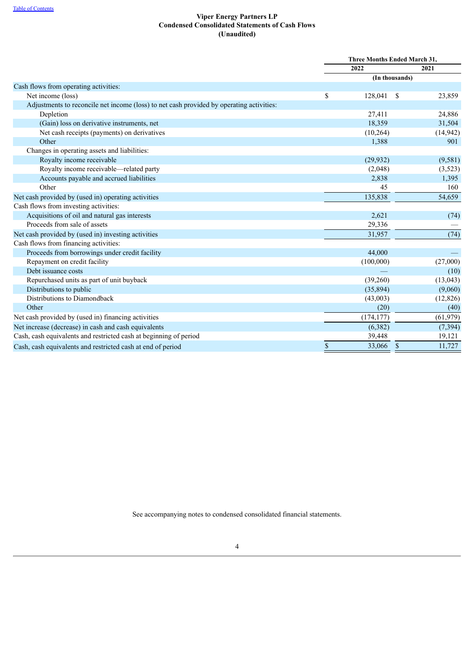## **Viper Energy Partners LP Condensed Consolidated Statements of Cash Flows (Unaudited)**

<span id="page-9-0"></span>

|                                                                                          | <b>Three Months Ended March 31,</b> |            |                |           |  |  |
|------------------------------------------------------------------------------------------|-------------------------------------|------------|----------------|-----------|--|--|
|                                                                                          |                                     | 2022       |                | 2021      |  |  |
|                                                                                          |                                     |            | (In thousands) |           |  |  |
| Cash flows from operating activities:                                                    |                                     |            |                |           |  |  |
| Net income (loss)                                                                        | \$                                  | 128,041    | <sup>\$</sup>  | 23,859    |  |  |
| Adjustments to reconcile net income (loss) to net cash provided by operating activities: |                                     |            |                |           |  |  |
| Depletion                                                                                |                                     | 27,411     |                | 24,886    |  |  |
| (Gain) loss on derivative instruments, net                                               |                                     | 18,359     |                | 31,504    |  |  |
| Net cash receipts (payments) on derivatives                                              |                                     | (10, 264)  |                | (14, 942) |  |  |
| Other                                                                                    |                                     | 1,388      |                | 901       |  |  |
| Changes in operating assets and liabilities:                                             |                                     |            |                |           |  |  |
| Royalty income receivable                                                                |                                     | (29, 932)  |                | (9,581)   |  |  |
| Royalty income receivable-related party                                                  |                                     | (2,048)    |                | (3,523)   |  |  |
| Accounts payable and accrued liabilities                                                 |                                     | 2,838      |                | 1,395     |  |  |
| Other                                                                                    |                                     | 45         |                | 160       |  |  |
| Net cash provided by (used in) operating activities                                      |                                     | 135,838    |                | 54,659    |  |  |
| Cash flows from investing activities:                                                    |                                     |            |                |           |  |  |
| Acquisitions of oil and natural gas interests                                            |                                     | 2,621      |                | (74)      |  |  |
| Proceeds from sale of assets                                                             |                                     | 29,336     |                |           |  |  |
| Net cash provided by (used in) investing activities                                      |                                     | 31,957     |                | (74)      |  |  |
| Cash flows from financing activities:                                                    |                                     |            |                |           |  |  |
| Proceeds from borrowings under credit facility                                           |                                     | 44,000     |                |           |  |  |
| Repayment on credit facility                                                             |                                     | (100,000)  |                | (27,000)  |  |  |
| Debt issuance costs                                                                      |                                     |            |                | (10)      |  |  |
| Repurchased units as part of unit buyback                                                |                                     | (39,260)   |                | (13, 043) |  |  |
| Distributions to public                                                                  |                                     | (35,894)   |                | (9,060)   |  |  |
| Distributions to Diamondback                                                             |                                     | (43,003)   |                | (12, 826) |  |  |
| Other                                                                                    |                                     | (20)       |                | (40)      |  |  |
| Net cash provided by (used in) financing activities                                      |                                     | (174, 177) |                | (61, 979) |  |  |
| Net increase (decrease) in cash and cash equivalents                                     |                                     | (6,382)    |                | (7, 394)  |  |  |
| Cash, cash equivalents and restricted cash at beginning of period                        |                                     | 39,448     |                | 19,121    |  |  |
| Cash, cash equivalents and restricted cash at end of period                              | \$                                  | 33,066     | $\mathbf{s}$   | 11,727    |  |  |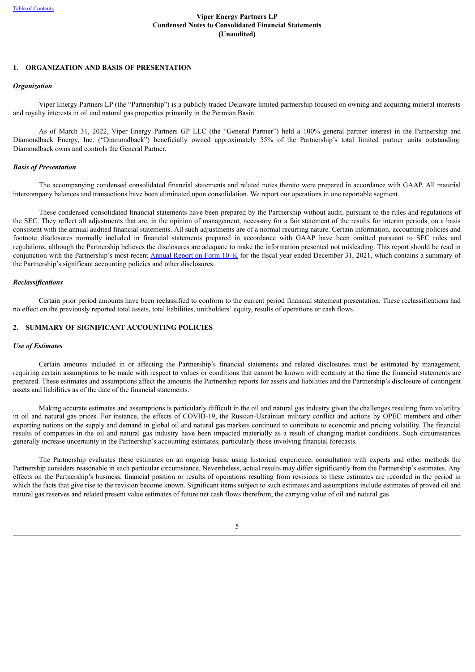## **1. ORGANIZATION AND BASIS OF PRESENTATION**

#### *Organization*

Viper Energy Partners LP (the "Partnership") is a publicly traded Delaware limited partnership focused on owning and acquiring mineral interests and royalty interests in oil and natural gas properties primarily in the Permian Basin.

As of March 31, 2022, Viper Energy Partners GP LLC (the "General Partner") held a 100% general partner interest in the Partnership and Diamondback Energy, Inc. ("Diamondback") beneficially owned approximately 55% of the Partnership's total limited partner units outstanding. Diamondback owns and controls the General Partner.

#### *Basis of Presentation*

The accompanying condensed consolidated financial statements and related notes thereto were prepared in accordance with GAAP. All material intercompany balances and transactions have been eliminated upon consolidation. We report our operations in one reportable segment.

These condensed consolidated financial statements have been prepared by the Partnership without audit, pursuant to the rules and regulations of the SEC. They reflect all adjustments that are, in the opinion of management, necessary for a fair statement of the results for interim periods, on a basis consistent with the annual audited financial statements. All such adjustments are of a normal recurring nature. Certain information, accounting policies and footnote disclosures normally included in financial statements prepared in accordance with GAAP have been omitted pursuant to SEC rules and regulations, although the Partnership believes the disclosures are adequate to make the information presented not misleading. This report should be read in conjunction with the Partnership's most recent [Annual](http://www.sec.gov/ix?doc=/Archives/edgar/data/1602065/000160206522000008/vnom-20211231.htm) Report on Form 10–K for the fiscal year ended December 31, 2021, which contains a summary of the Partnership's significant accounting policies and other disclosures.

#### *Reclassifications*

Certain prior period amounts have been reclassified to conform to the current period financial statement presentation. These reclassifications had no effect on the previously reported total assets, total liabilities, unitholders' equity, results of operations or cash flows.

# <span id="page-10-0"></span>**2. SUMMARY OF SIGNIFICANT ACCOUNTING POLICIES**

#### *Use of Estimates*

Certain amounts included in or affecting the Partnership's financial statements and related disclosures must be estimated by management, requiring certain assumptions to be made with respect to values or conditions that cannot be known with certainty at the time the financial statements are prepared. These estimates and assumptions affect the amounts the Partnership reports for assets and liabilities and the Partnership's disclosure of contingent assets and liabilities as of the date of the financial statements.

Making accurate estimates and assumptions is particularly difficult in the oil and natural gas industry given the challenges resulting from volatility in oil and natural gas prices. For instance, the effects of COVID-19, the Russian-Ukrainian military conflict and actions by OPEC members and other exporting nations on the supply and demand in global oil and natural gas markets continued to contribute to economic and pricing volatility. The financial results of companies in the oil and natural gas industry have been impacted materially as a result of changing market conditions. Such circumstances generally increase uncertainty in the Partnership's accounting estimates, particularly those involving financial forecasts.

The Partnership evaluates these estimates on an ongoing basis, using historical experience, consultation with experts and other methods the Partnership considers reasonable in each particular circumstance. Nevertheless, actual results may differ significantly from the Partnership's estimates. Any effects on the Partnership's business, financial position or results of operations resulting from revisions to these estimates are recorded in the period in which the facts that give rise to the revision become known. Significant items subject to such estimates and assumptions include estimates of proved oil and natural gas reserves and related present value estimates of future net cash flows therefrom, the carrying value of oil and natural gas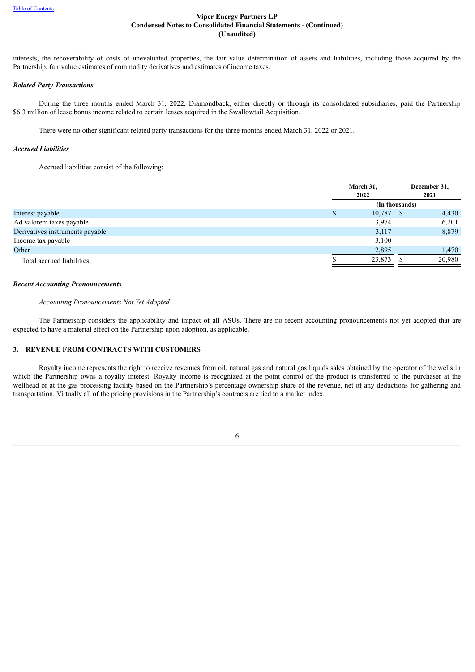interests, the recoverability of costs of unevaluated properties, the fair value determination of assets and liabilities, including those acquired by the Partnership, fair value estimates of commodity derivatives and estimates of income taxes.

## *Related Party Transactions*

During the three months ended March 31, 2022, Diamondback, either directly or through its consolidated subsidiaries, paid the Partnership \$6.3 million of lease bonus income related to certain leases acquired in the Swallowtail Acquisition.

There were no other significant related party transactions for the three months ended March 31, 2022 or 2021.

#### *Accrued Liabilities*

Accrued liabilities consist of the following:

|                                 |   | March 31,<br>2022 | December 31,<br>2021 |        |  |
|---------------------------------|---|-------------------|----------------------|--------|--|
|                                 |   | (In thousands)    |                      |        |  |
| Interest payable                | S | $10,787$ \$       |                      | 4,430  |  |
| Ad valorem taxes payable        |   | 3,974             |                      | 6,201  |  |
| Derivatives instruments payable |   | 3,117             |                      | 8,879  |  |
| Income tax payable              |   | 3,100             |                      |        |  |
| Other                           |   | 2,895             |                      | 1,470  |  |
| Total accrued liabilities       |   | 23,873            |                      | 20,980 |  |

#### *Recent Accounting Pronouncements*

#### *Accounting Pronouncements Not Yet Adopted*

The Partnership considers the applicability and impact of all ASUs. There are no recent accounting pronouncements not yet adopted that are expected to have a material effect on the Partnership upon adoption, as applicable.

## **3. REVENUE FROM CONTRACTS WITH CUSTOMERS**

Royalty income represents the right to receive revenues from oil, natural gas and natural gas liquids sales obtained by the operator of the wells in which the Partnership owns a royalty interest. Royalty income is recognized at the point control of the product is transferred to the purchaser at the wellhead or at the gas processing facility based on the Partnership's percentage ownership share of the revenue, net of any deductions for gathering and transportation. Virtually all of the pricing provisions in the Partnership's contracts are tied to a market index.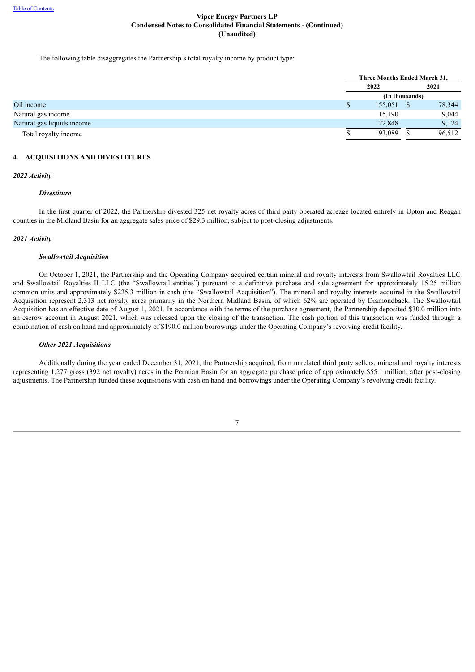#### The following table disaggregates the Partnership's total royalty income by product type:

|                            |   | Three Months Ended March 31,<br>2022<br>2021<br>(In thousands)<br>$155,051$ \$ |  |        |
|----------------------------|---|--------------------------------------------------------------------------------|--|--------|
|                            |   |                                                                                |  |        |
|                            |   |                                                                                |  |        |
| Oil income                 | S |                                                                                |  | 78,344 |
| Natural gas income         |   | 15,190                                                                         |  | 9,044  |
| Natural gas liquids income |   | 22,848                                                                         |  | 9.124  |
| Total royalty income       |   | 193,089                                                                        |  | 96,512 |

#### **4. ACQUISITIONS AND DIVESTITURES**

#### *2022 Activity*

#### *Divestiture*

In the first quarter of 2022, the Partnership divested 325 net royalty acres of third party operated acreage located entirely in Upton and Reagan counties in the Midland Basin for an aggregate sales price of \$29.3 million, subject to post-closing adjustments.

#### *2021 Activity*

#### *Swallowtail Acquisition*

On October 1, 2021, the Partnership and the Operating Company acquired certain mineral and royalty interests from Swallowtail Royalties LLC and Swallowtail Royalties II LLC (the "Swallowtail entities") pursuant to a definitive purchase and sale agreement for approximately 15.25 million common units and approximately \$225.3 million in cash (the "Swallowtail Acquisition"). The mineral and royalty interests acquired in the Swallowtail Acquisition represent 2,313 net royalty acres primarily in the Northern Midland Basin, of which 62% are operated by Diamondback. The Swallowtail Acquisition has an effective date of August 1, 2021. In accordance with the terms of the purchase agreement, the Partnership deposited \$30.0 million into an escrow account in August 2021, which was released upon the closing of the transaction. The cash portion of this transaction was funded through a combination of cash on hand and approximately of \$190.0 million borrowings under the Operating Company's revolving credit facility.

#### *Other 2021 Acquisitions*

Additionally during the year ended December 31, 2021, the Partnership acquired, from unrelated third party sellers, mineral and royalty interests representing 1,277 gross (392 net royalty) acres in the Permian Basin for an aggregate purchase price of approximately \$55.1 million, after post-closing adjustments. The Partnership funded these acquisitions with cash on hand and borrowings under the Operating Company's revolving credit facility.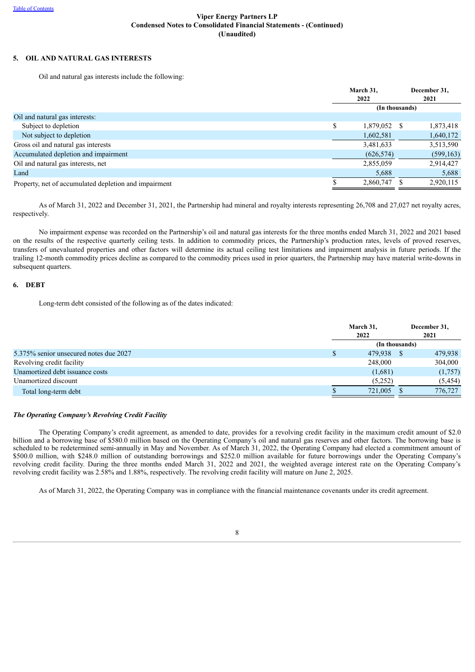## **5. OIL AND NATURAL GAS INTERESTS**

Oil and natural gas interests include the following:

|                                                       |   | March 31,<br>2022 | December 31,<br>2021 |
|-------------------------------------------------------|---|-------------------|----------------------|
|                                                       |   | (In thousands)    |                      |
| Oil and natural gas interests:                        |   |                   |                      |
| Subject to depletion                                  | S | 1,879,052 \$      | 1,873,418            |
| Not subject to depletion                              |   | 1,602,581         | 1,640,172            |
| Gross oil and natural gas interests                   |   | 3,481,633         | 3,513,590            |
| Accumulated depletion and impairment                  |   | (626, 574)        | (599, 163)           |
| Oil and natural gas interests, net                    |   | 2,855,059         | 2,914,427            |
| Land                                                  |   | 5,688             | 5,688                |
| Property, net of accumulated depletion and impairment |   | 2,860,747         | 2,920,115            |

As of March 31, 2022 and December 31, 2021, the Partnership had mineral and royalty interests representing 26,708 and 27,027 net royalty acres, respectively.

No impairment expense was recorded on the Partnership's oil and natural gas interests for the three months ended March 31, 2022 and 2021 based on the results of the respective quarterly ceiling tests. In addition to commodity prices, the Partnership's production rates, levels of proved reserves, transfers of unevaluated properties and other factors will determine its actual ceiling test limitations and impairment analysis in future periods. If the trailing 12-month commodity prices decline as compared to the commodity prices used in prior quarters, the Partnership may have material write-downs in subsequent quarters.

## <span id="page-13-1"></span>**6. DEBT**

Long-term debt consisted of the following as of the dates indicated:

|                                        |   | March 31,<br>2022 |                | December 31,<br>2021 |
|----------------------------------------|---|-------------------|----------------|----------------------|
|                                        |   |                   | (In thousands) |                      |
| 5.375% senior unsecured notes due 2027 | D | 479,938 \$        |                | 479,938              |
| Revolving credit facility              |   | 248,000           |                | 304,000              |
| Unamortized debt issuance costs        |   | (1,681)           |                | (1,757)              |
| Unamortized discount                   |   | (5,252)           |                | (5,454)              |
| Total long-term debt                   |   | 721,005           |                | 776,727              |

## *The Operating Company's Revolving Credit Facility*

The Operating Company's credit agreement, as amended to date, provides for a revolving credit facility in the maximum credit amount of \$2.0 billion and a borrowing base of \$580.0 million based on the Operating Company's oil and natural gas reserves and other factors. The borrowing base is scheduled to be redetermined semi-annually in May and November. As of March 31, 2022, the Operating Company had elected a commitment amount of \$500.0 million, with \$248.0 million of outstanding borrowings and \$252.0 million available for future borrowings under the Operating Company's revolving credit facility. During the three months ended March 31, 2022 and 2021, the weighted average interest rate on the Operating Company's revolving credit facility was 2.58% and 1.88%, respectively. The revolving credit facility will mature on June 2, 2025.

<span id="page-13-0"></span>As of March 31, 2022, the Operating Company was in compliance with the financial maintenance covenants under its credit agreement.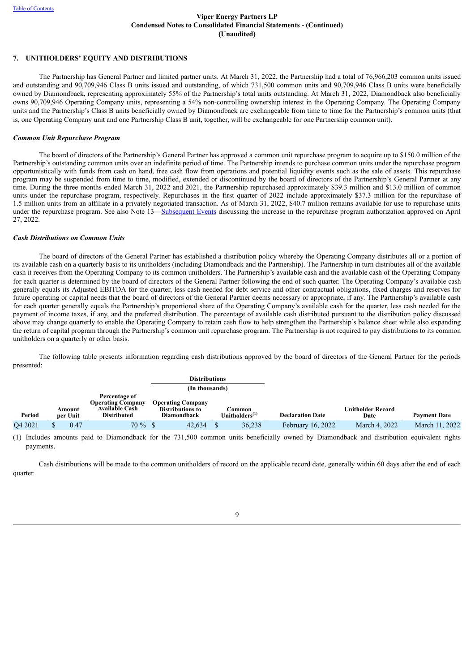#### **7. UNITHOLDERS' EQUITY AND DISTRIBUTIONS**

The Partnership has General Partner and limited partner units. At March 31, 2022, the Partnership had a total of 76,966,203 common units issued and outstanding and 90,709,946 Class B units issued and outstanding, of which 731,500 common units and 90,709,946 Class B units were beneficially owned by Diamondback, representing approximately 55% of the Partnership's total units outstanding. At March 31, 2022, Diamondback also beneficially owns 90,709,946 Operating Company units, representing a 54% non-controlling ownership interest in the Operating Company. The Operating Company units and the Partnership's Class B units beneficially owned by Diamondback are exchangeable from time to time for the Partnership's common units (that is, one Operating Company unit and one Partnership Class B unit, together, will be exchangeable for one Partnership common unit).

#### *Common Unit Repurchase Program*

The board of directors of the Partnership's General Partner has approved a common unit repurchase program to acquire up to \$150.0 million of the Partnership's outstanding common units over an indefinite period of time. The Partnership intends to purchase common units under the repurchase program opportunistically with funds from cash on hand, free cash flow from operations and potential liquidity events such as the sale of assets. This repurchase program may be suspended from time to time, modified, extended or discontinued by the board of directors of the Partnership's General Partner at any time. During the three months ended March 31, 2022 and 2021, the Partnership repurchased approximately \$39.3 million and \$13.0 million of common units under the repurchase program, respectively. Repurchases in the first quarter of 2022 include approximately \$37.3 million for the repurchase of 1.5 million units from an affiliate in a privately negotiated transaction. As of March 31, 2022, \$40.7 million remains available for use to repurchase units under the repurchase program. See also Note 13[—Subsequent](#page-20-1) Events discussing the increase in the repurchase program authorization approved on April 27, 2022.

#### *Cash Distributions on Common Units*

The board of directors of the General Partner has established a distribution policy whereby the Operating Company distributes all or a portion of its available cash on a quarterly basis to its unitholders (including Diamondback and the Partnership). The Partnership in turn distributes all of the available cash it receives from the Operating Company to its common unitholders. The Partnership's available cash and the available cash of the Operating Company for each quarter is determined by the board of directors of the General Partner following the end of such quarter. The Operating Company's available cash generally equals its Adjusted EBITDA for the quarter, less cash needed for debt service and other contractual obligations, fixed charges and reserves for future operating or capital needs that the board of directors of the General Partner deems necessary or appropriate, if any. The Partnership's available cash for each quarter generally equals the Partnership's proportional share of the Operating Company's available cash for the quarter, less cash needed for the payment of income taxes, if any, and the preferred distribution. The percentage of available cash distributed pursuant to the distribution policy discussed above may change quarterly to enable the Operating Company to retain cash flow to help strengthen the Partnership's balance sheet while also expanding the return of capital program through the Partnership's common unit repurchase program. The Partnership is not required to pay distributions to its common unitholders on a quarterly or other basis.

The following table presents information regarding cash distributions approved by the board of directors of the General Partner for the periods presented:

|                     |  |                    |                                                                                   | <b>Distributions</b>                                        |  |                                      |                         |                                  |                     |
|---------------------|--|--------------------|-----------------------------------------------------------------------------------|-------------------------------------------------------------|--|--------------------------------------|-------------------------|----------------------------------|---------------------|
| (In thousands)      |  |                    |                                                                                   |                                                             |  |                                      |                         |                                  |                     |
| Period              |  | Amount<br>per Unit | Percentage of<br><b>Operating Company</b><br>Available Cash<br><b>Distributed</b> | <b>Operating Company</b><br>Distributions to<br>Diamondback |  | 2ommon<br>Unitholders <sup>(1)</sup> | <b>Declaration Date</b> | <b>Unitholder Record</b><br>Date | <b>Payment Date</b> |
| O <sub>4</sub> 2021 |  | 0.47               | $70\%$ \$                                                                         | 42.634                                                      |  | 36.238                               | February 16, 2022       | March 4, 2022                    | March 11, 2022      |

(1) Includes amounts paid to Diamondback for the 731,500 common units beneficially owned by Diamondback and distribution equivalent rights payments.

Cash distributions will be made to the common unitholders of record on the applicable record date, generally within 60 days after the end of each quarter.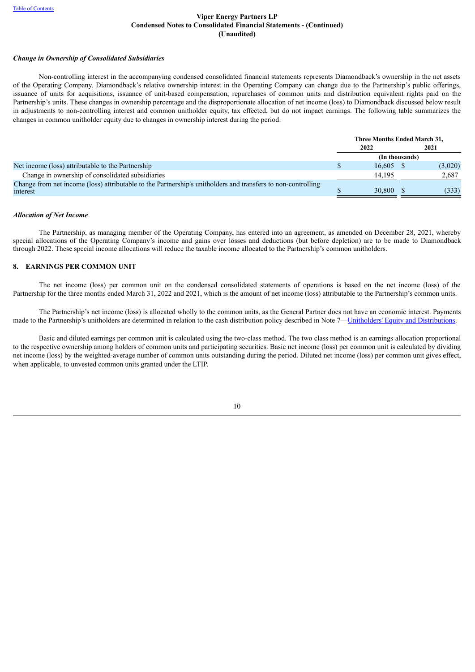#### *Change in Ownership of Consolidated Subsidiaries*

Non-controlling interest in the accompanying condensed consolidated financial statements represents Diamondback's ownership in the net assets of the Operating Company. Diamondback's relative ownership interest in the Operating Company can change due to the Partnership's public offerings, issuance of units for acquisitions, issuance of unit-based compensation, repurchases of common units and distribution equivalent rights paid on the Partnership's units. These changes in ownership percentage and the disproportionate allocation of net income (loss) to Diamondback discussed below result in adjustments to non-controlling interest and common unitholder equity, tax effected, but do not impact earnings. The following table summarizes the changes in common unitholder equity due to changes in ownership interest during the period:

|                                                                                                                          | Three Months Ended March 31, |  |         |  |
|--------------------------------------------------------------------------------------------------------------------------|------------------------------|--|---------|--|
|                                                                                                                          | 2022                         |  | 2021    |  |
|                                                                                                                          | (In thousands)               |  |         |  |
| Net income (loss) attributable to the Partnership                                                                        | 16.605                       |  | (3,020) |  |
| Change in ownership of consolidated subsidiaries                                                                         | 14.195                       |  | 2,687   |  |
| Change from net income (loss) attributable to the Partnership's unitholders and transfers to non-controlling<br>interest | 30,800                       |  | (333)   |  |

#### *Allocation of Net Income*

The Partnership, as managing member of the Operating Company, has entered into an agreement, as amended on December 28, 2021, whereby special allocations of the Operating Company's income and gains over losses and deductions (but before depletion) are to be made to Diamondback through 2022. These special income allocations will reduce the taxable income allocated to the Partnership's common unitholders.

# **8. EARNINGS PER COMMON UNIT**

The net income (loss) per common unit on the condensed consolidated statements of operations is based on the net income (loss) of the Partnership for the three months ended March 31, 2022 and 2021, which is the amount of net income (loss) attributable to the Partnership's common units.

The Partnership's net income (loss) is allocated wholly to the common units, as the General Partner does not have an economic interest. Payments made to the Partnership's unitholders are determined in relation to the cash distribution policy described in Note 7—Unitholders' Equity and [Distributions.](#page-13-0)

Basic and diluted earnings per common unit is calculated using the two-class method. The two class method is an earnings allocation proportional to the respective ownership among holders of common units and participating securities. Basic net income (loss) per common unit is calculated by dividing net income (loss) by the weighted-average number of common units outstanding during the period. Diluted net income (loss) per common unit gives effect, when applicable, to unvested common units granted under the LTIP.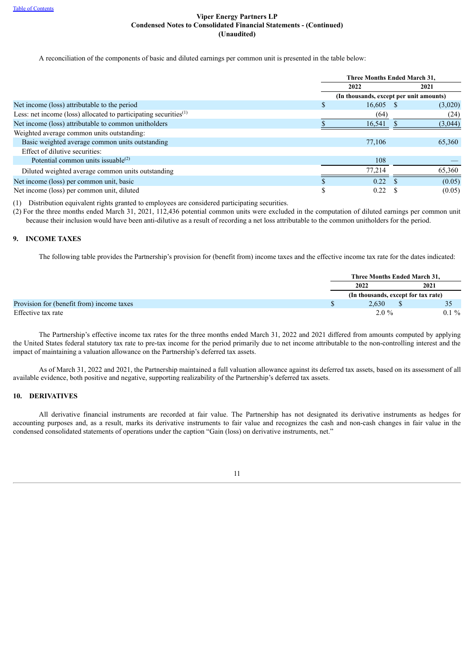A reconciliation of the components of basic and diluted earnings per common unit is presented in the table below:

|                                                                     | Three Months Ended March 31,            |         |
|---------------------------------------------------------------------|-----------------------------------------|---------|
|                                                                     | 2022                                    | 2021    |
|                                                                     | (In thousands, except per unit amounts) |         |
| Net income (loss) attributable to the period                        | $16,605$ \$                             | (3,020) |
| Less: net income (loss) allocated to participating securities $(1)$ | (64)                                    | (24)    |
| Net income (loss) attributable to common unitholders                | 16,541                                  | (3,044) |
| Weighted average common units outstanding:                          |                                         |         |
| Basic weighted average common units outstanding                     | 77,106                                  | 65,360  |
| Effect of dilutive securities:                                      |                                         |         |
| Potential common units is suable <sup>(2)</sup>                     | 108                                     |         |
| Diluted weighted average common units outstanding                   | 77,214                                  | 65,360  |
| Net income (loss) per common unit, basic                            | 0.22                                    | (0.05)  |
| Net income (loss) per common unit, diluted                          | 0.22                                    | (0.05)  |

(1) Distribution equivalent rights granted to employees are considered participating securities.

(2) For the three months ended March 31, 2021, 112,436 potential common units were excluded in the computation of diluted earnings per common unit because their inclusion would have been anti-dilutive as a result of recording a net loss attributable to the common unitholders for the period.

#### **9. INCOME TAXES**

The following table provides the Partnership's provision for (benefit from) income taxes and the effective income tax rate for the dates indicated:

|                                           | Three Months Ended March 31, |                                             |         |
|-------------------------------------------|------------------------------|---------------------------------------------|---------|
|                                           | 2022                         | 2021<br>(In thousands, except for tax rate) |         |
|                                           |                              |                                             |         |
| Provision for (benefit from) income taxes | 2.630                        |                                             |         |
| Effective tax rate                        | $2.0\%$                      |                                             | $0.1\%$ |

The Partnership's effective income tax rates for the three months ended March 31, 2022 and 2021 differed from amounts computed by applying the United States federal statutory tax rate to pre-tax income for the period primarily due to net income attributable to the non-controlling interest and the impact of maintaining a valuation allowance on the Partnership's deferred tax assets.

As of March 31, 2022 and 2021, the Partnership maintained a full valuation allowance against its deferred tax assets, based on its assessment of all available evidence, both positive and negative, supporting realizability of the Partnership's deferred tax assets.

#### **10. DERIVATIVES**

All derivative financial instruments are recorded at fair value. The Partnership has not designated its derivative instruments as hedges for accounting purposes and, as a result, marks its derivative instruments to fair value and recognizes the cash and non-cash changes in fair value in the condensed consolidated statements of operations under the caption "Gain (loss) on derivative instruments, net."

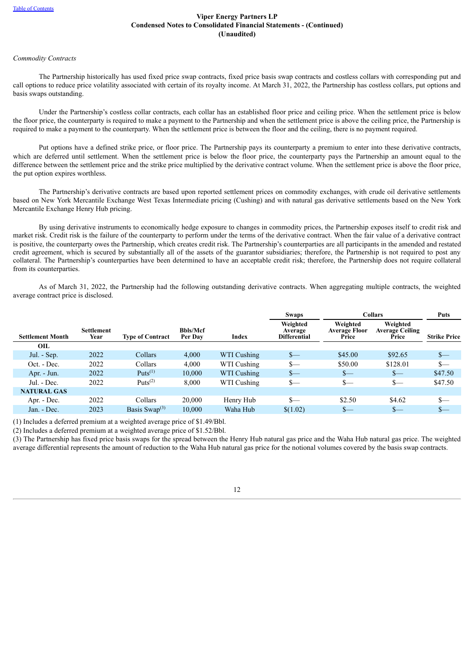# *Commodity Contracts*

The Partnership historically has used fixed price swap contracts, fixed price basis swap contracts and costless collars with corresponding put and call options to reduce price volatility associated with certain of its royalty income. At March 31, 2022, the Partnership has costless collars, put options and basis swaps outstanding.

Under the Partnership's costless collar contracts, each collar has an established floor price and ceiling price. When the settlement price is below the floor price, the counterparty is required to make a payment to the Partnership and when the settlement price is above the ceiling price, the Partnership is required to make a payment to the counterparty. When the settlement price is between the floor and the ceiling, there is no payment required.

Put options have a defined strike price, or floor price. The Partnership pays its counterparty a premium to enter into these derivative contracts, which are deferred until settlement. When the settlement price is below the floor price, the counterparty pays the Partnership an amount equal to the difference between the settlement price and the strike price multiplied by the derivative contract volume. When the settlement price is above the floor price, the put option expires worthless.

The Partnership's derivative contracts are based upon reported settlement prices on commodity exchanges, with crude oil derivative settlements based on New York Mercantile Exchange West Texas Intermediate pricing (Cushing) and with natural gas derivative settlements based on the New York Mercantile Exchange Henry Hub pricing.

By using derivative instruments to economically hedge exposure to changes in commodity prices, the Partnership exposes itself to credit risk and market risk. Credit risk is the failure of the counterparty to perform under the terms of the derivative contract. When the fair value of a derivative contract is positive, the counterparty owes the Partnership, which creates credit risk. The Partnership's counterparties are all participants in the amended and restated credit agreement, which is secured by substantially all of the assets of the guarantor subsidiaries; therefore, the Partnership is not required to post any collateral. The Partnership's counterparties have been determined to have an acceptable credit risk; therefore, the Partnership does not require collateral from its counterparties.

As of March 31, 2022, the Partnership had the following outstanding derivative contracts. When aggregating multiple contracts, the weighted average contract price is disclosed.

|                         |                           |                         |                            |              | <b>Swaps</b>                               | <b>Collars</b>                            |                                             | <b>Puts</b>         |
|-------------------------|---------------------------|-------------------------|----------------------------|--------------|--------------------------------------------|-------------------------------------------|---------------------------------------------|---------------------|
| <b>Settlement Month</b> | <b>Settlement</b><br>Year | <b>Type of Contract</b> | <b>Bbls/Mcf</b><br>Per Day | <b>Index</b> | Weighted<br>Average<br><b>Differential</b> | Weighted<br><b>Average Floor</b><br>Price | Weighted<br><b>Average Ceiling</b><br>Price | <b>Strike Price</b> |
| OIL                     |                           |                         |                            |              |                                            |                                           |                                             |                     |
| Jul. - Sep.             | 2022                      | Collars                 | 4,000                      | WTI Cushing  | $s-$                                       | \$45.00                                   | \$92.65                                     | $s-$                |
| Oct. - Dec.             | 2022                      | Collars                 | 4.000                      | WTI Cushing  | $s-$                                       | \$50.00                                   | \$128.01                                    | $S-$                |
| Apr. - Jun.             | 2022                      | $Puts^{(1)}$            | 10.000                     | WTI Cushing  | $S-$                                       | $S-$                                      | $S-$                                        | \$47.50             |
| Jul. - Dec.             | 2022                      | $Puts^{(2)}$            | 8.000                      | WTI Cushing  | $S-$                                       | $S-$                                      | $S-$                                        | \$47.50             |
| <b>NATURAL GAS</b>      |                           |                         |                            |              |                                            |                                           |                                             |                     |
| Apr. - Dec.             | 2022                      | Collars                 | 20,000                     | Henry Hub    | $S-$                                       | \$2.50                                    | \$4.62                                      | $S-$                |
| Jan. - Dec.             | 2023                      | Basis Swap $(3)$        | 10.000                     | Waha Hub     | \$(1.02)                                   | $S-$                                      | $S-$                                        | s—                  |

(1) Includes a deferred premium at a weighted average price of \$1.49/Bbl.

(2) Includes a deferred premium at a weighted average price of \$1.52/Bbl.

(3) The Partnership has fixed price basis swaps for the spread between the Henry Hub natural gas price and the Waha Hub natural gas price. The weighted average differential represents the amount of reduction to the Waha Hub natural gas price for the notional volumes covered by the basis swap contracts.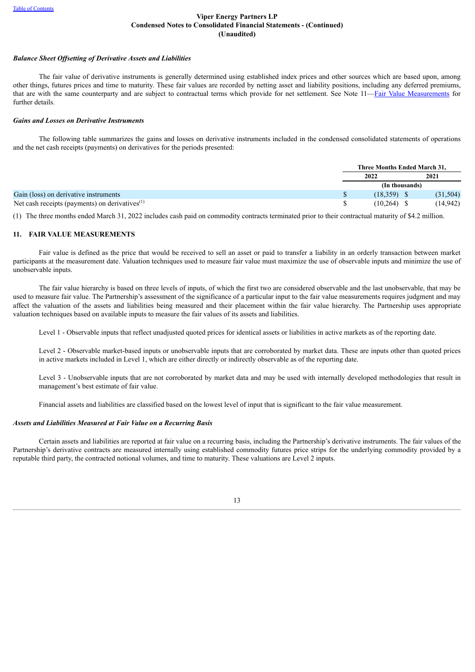#### *Balance Sheet Of setting of Derivative Assets and Liabilities*

The fair value of derivative instruments is generally determined using established index prices and other sources which are based upon, among other things, futures prices and time to maturity. These fair values are recorded by netting asset and liability positions, including any deferred premiums, that are with the same counterparty and are subject to contractual terms which provide for net settlement. See Note 11—Fair Value [Measurements](#page-18-0) for further details.

#### *Gains and Losses on Derivative Instruments*

The following table summarizes the gains and losses on derivative instruments included in the condensed consolidated statements of operations and the net cash receipts (payments) on derivatives for the periods presented:

|                                                   | <b>Three Months Ended March 31.</b><br>2021<br>2022 |                |           |  |
|---------------------------------------------------|-----------------------------------------------------|----------------|-----------|--|
|                                                   | $(18.359)$ \$                                       |                |           |  |
|                                                   |                                                     | (In thousands) |           |  |
| Gain (loss) on derivative instruments             |                                                     |                | (31,504)  |  |
| Net cash receipts (payments) on derivatives $(1)$ | (10, 264)                                           |                | (14, 942) |  |

(1) The three months ended March 31, 2022 includes cash paid on commodity contracts terminated prior to their contractual maturity of \$4.2 million.

## <span id="page-18-0"></span>**11. FAIR VALUE MEASUREMENTS**

Fair value is defined as the price that would be received to sell an asset or paid to transfer a liability in an orderly transaction between market participants at the measurement date. Valuation techniques used to measure fair value must maximize the use of observable inputs and minimize the use of unobservable inputs.

The fair value hierarchy is based on three levels of inputs, of which the first two are considered observable and the last unobservable, that may be used to measure fair value. The Partnership's assessment of the significance of a particular input to the fair value measurements requires judgment and may affect the valuation of the assets and liabilities being measured and their placement within the fair value hierarchy. The Partnership uses appropriate valuation techniques based on available inputs to measure the fair values of its assets and liabilities.

Level 1 - Observable inputs that reflect unadjusted quoted prices for identical assets or liabilities in active markets as of the reporting date.

Level 2 - Observable market-based inputs or unobservable inputs that are corroborated by market data. These are inputs other than quoted prices in active markets included in Level 1, which are either directly or indirectly observable as of the reporting date.

Level 3 - Unobservable inputs that are not corroborated by market data and may be used with internally developed methodologies that result in management's best estimate of fair value.

Financial assets and liabilities are classified based on the lowest level of input that is significant to the fair value measurement.

#### *Assets and Liabilities Measured at Fair Value on a Recurring Basis*

Certain assets and liabilities are reported at fair value on a recurring basis, including the Partnership's derivative instruments. The fair values of the Partnership's derivative contracts are measured internally using established commodity futures price strips for the underlying commodity provided by a reputable third party, the contracted notional volumes, and time to maturity. These valuations are Level 2 inputs.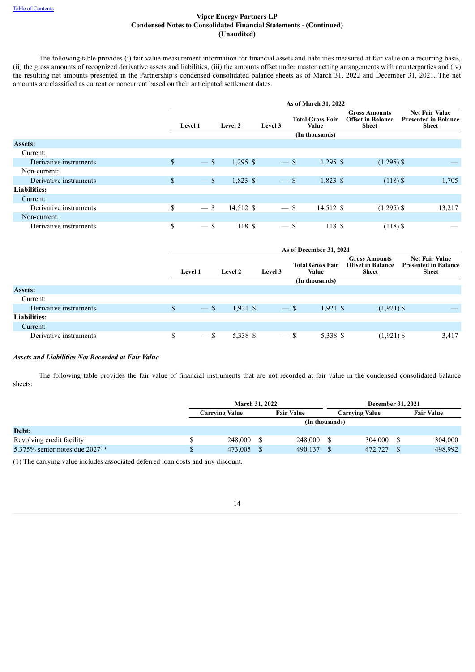The following table provides (i) fair value measurement information for financial assets and liabilities measured at fair value on a recurring basis, (ii) the gross amounts of recognized derivative assets and liabilities, (iii) the amounts offset under master netting arrangements with counterparties and (iv) the resulting net amounts presented in the Partnership's condensed consolidated balance sheets as of March 31, 2022 and December 31, 2021. The net amounts are classified as current or noncurrent based on their anticipated settlement dates.

|                        |              |                |            |                | As of March 31, 2022                    |                                                                  |                                                                      |
|------------------------|--------------|----------------|------------|----------------|-----------------------------------------|------------------------------------------------------------------|----------------------------------------------------------------------|
|                        |              | <b>Level 1</b> | Level 2    | <b>Level 3</b> | <b>Total Gross Fair</b><br><b>Value</b> | <b>Gross Amounts</b><br><b>Offset in Balance</b><br><b>Sheet</b> | <b>Net Fair Value</b><br><b>Presented in Balance</b><br><b>Sheet</b> |
|                        |              |                |            |                | (In thousands)                          |                                                                  |                                                                      |
| <b>Assets:</b>         |              |                |            |                |                                         |                                                                  |                                                                      |
| Current:               |              |                |            |                |                                         |                                                                  |                                                                      |
| Derivative instruments | $\mathbb{S}$ | $-$ \$         | $1,295$ \$ | $-$ \$         | $1,295$ \$                              | $(1,295)$ \$                                                     |                                                                      |
| Non-current:           |              |                |            |                |                                         |                                                                  |                                                                      |
| Derivative instruments | \$           | $-$ \$         | $1,823$ \$ | $-$ \$         | 1,823 \$                                | $(118)$ \$                                                       | 1,705                                                                |
| <b>Liabilities:</b>    |              |                |            |                |                                         |                                                                  |                                                                      |
| Current:               |              |                |            |                |                                         |                                                                  |                                                                      |
| Derivative instruments | \$           | $-$ \$         | 14,512 \$  | $-$ \$         | 14,512 \$                               | $(1,295)$ \$                                                     | 13,217                                                               |
| Non-current:           |              |                |            |                |                                         |                                                                  |                                                                      |
| Derivative instruments | S            | $-$ \$         | 118 \$     | $-$ \$         | 118 S                                   | $(118)$ \$                                                       |                                                                      |

|                        |               | As of December 31, 2021 |                |         |                                         |                                                                  |                                                                      |  |  |
|------------------------|---------------|-------------------------|----------------|---------|-----------------------------------------|------------------------------------------------------------------|----------------------------------------------------------------------|--|--|
|                        |               | <b>Level 1</b>          | <b>Level 2</b> | Level 3 | <b>Total Gross Fair</b><br><b>Value</b> | <b>Gross Amounts</b><br><b>Offset in Balance</b><br><b>Sheet</b> | <b>Net Fair Value</b><br><b>Presented in Balance</b><br><b>Sheet</b> |  |  |
|                        |               |                         |                |         | (In thousands)                          |                                                                  |                                                                      |  |  |
| Assets:                |               |                         |                |         |                                         |                                                                  |                                                                      |  |  |
| Current:               |               |                         |                |         |                                         |                                                                  |                                                                      |  |  |
| Derivative instruments | <sup>\$</sup> | $-$ \$                  | $1,921$ \$     | $-$ \$  | $1,921$ \$                              | $(1,921)$ \$                                                     |                                                                      |  |  |
| <b>Liabilities:</b>    |               |                         |                |         |                                         |                                                                  |                                                                      |  |  |
| Current:               |               |                         |                |         |                                         |                                                                  |                                                                      |  |  |
| Derivative instruments | \$            | $-$ \$                  | 5,338 \$       | $-$ \$  | 5,338 \$                                | $(1,921)$ \$                                                     | 3,417                                                                |  |  |

## *Assets and Liabilities Not Recorded at Fair Value*

The following table provides the fair value of financial instruments that are not recorded at fair value in the condensed consolidated balance sheets:

| <b>March 31, 2022</b> |         |  |                   |  | <b>December 31, 2021</b> |                |                   |  |
|-----------------------|---------|--|-------------------|--|--------------------------|----------------|-------------------|--|
| Carrying Value        |         |  | <b>Fair Value</b> |  | Carrving Value           |                | <b>Fair Value</b> |  |
|                       |         |  |                   |  |                          |                |                   |  |
|                       |         |  |                   |  |                          |                |                   |  |
|                       | 248,000 |  | 248,000           |  | 304,000                  |                | 304,000           |  |
|                       | 473,005 |  | 490.137           |  | 472,727                  |                | 498,992           |  |
|                       |         |  |                   |  |                          | (In thousands) |                   |  |

(1) The carrying value includes associated deferred loan costs and any discount.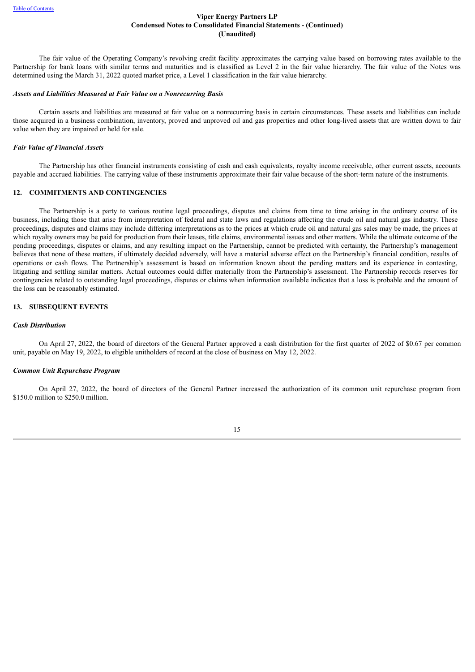The fair value of the Operating Company's revolving credit facility approximates the carrying value based on borrowing rates available to the Partnership for bank loans with similar terms and maturities and is classified as Level 2 in the fair value hierarchy. The fair value of the Notes was determined using the March 31, 2022 quoted market price, a Level 1 classification in the fair value hierarchy.

#### *Assets and Liabilities Measured at Fair Value on a Nonrecurring Basis*

Certain assets and liabilities are measured at fair value on a nonrecurring basis in certain circumstances. These assets and liabilities can include those acquired in a business combination, inventory, proved and unproved oil and gas properties and other long-lived assets that are written down to fair value when they are impaired or held for sale.

#### *Fair Value of Financial Assets*

The Partnership has other financial instruments consisting of cash and cash equivalents, royalty income receivable, other current assets, accounts payable and accrued liabilities. The carrying value of these instruments approximate their fair value because of the short-term nature of the instruments.

#### <span id="page-20-2"></span>**12. COMMITMENTS AND CONTINGENCIES**

The Partnership is a party to various routine legal proceedings, disputes and claims from time to time arising in the ordinary course of its business, including those that arise from interpretation of federal and state laws and regulations affecting the crude oil and natural gas industry. These proceedings, disputes and claims may include differing interpretations as to the prices at which crude oil and natural gas sales may be made, the prices at which royalty owners may be paid for production from their leases, title claims, environmental issues and other matters. While the ultimate outcome of the pending proceedings, disputes or claims, and any resulting impact on the Partnership, cannot be predicted with certainty, the Partnership's management believes that none of these matters, if ultimately decided adversely, will have a material adverse effect on the Partnership's financial condition, results of operations or cash flows. The Partnership's assessment is based on information known about the pending matters and its experience in contesting, litigating and settling similar matters. Actual outcomes could differ materially from the Partnership's assessment. The Partnership records reserves for contingencies related to outstanding legal proceedings, disputes or claims when information available indicates that a loss is probable and the amount of the loss can be reasonably estimated.

#### <span id="page-20-1"></span>**13. SUBSEQUENT EVENTS**

#### *Cash Distribution*

On April 27, 2022, the board of directors of the General Partner approved a cash distribution for the first quarter of 2022 of \$0.67 per common unit, payable on May 19, 2022, to eligible unitholders of record at the close of business on May 12, 2022.

#### *Common Unit Repurchase Program*

<span id="page-20-0"></span>On April 27, 2022, the board of directors of the General Partner increased the authorization of its common unit repurchase program from \$150.0 million to \$250.0 million.

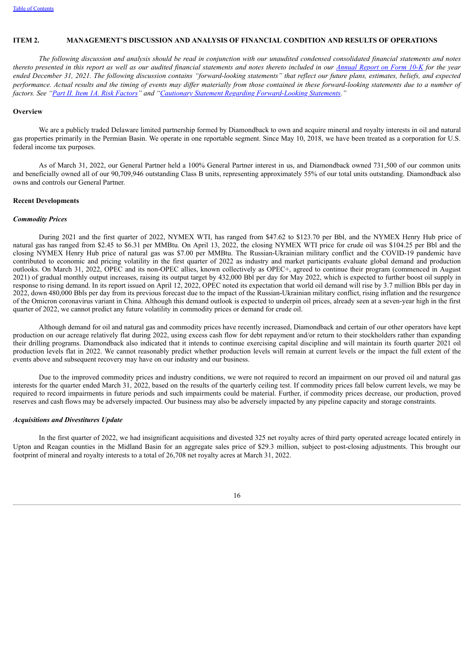#### **ITEM 2. MANAGEMENT'S DISCUSSION AND ANALYSIS OF FINANCIAL CONDITION AND RESULTS OF OPERATIONS**

The following discussion and analysis should be read in conjunction with our unaudited condensed consolidated financial statements and notes thereto presented in this report as well as our audited financial statements and notes thereto included in our [Annual](http://www.sec.gov/ix?doc=/Archives/edgar/data/1602065/000160206522000008/vnom-20211231.htm) Report on Form 10-K for the vear ended December 31, 2021. The following discussion contains "forward-looking statements" that reflect our future plans, estimates, beliefs, and expected performance. Actual results and the timing of events may differ materially from those contained in these forward-looking statements due to a number of *factors. See "Part II. Item 1A. Risk [Factors"](#page-33-1) and "Cautionary Statement Regarding [Forward-Looking](#page-3-0) Statements."*

#### <span id="page-21-0"></span>**Overview**

We are a publicly traded Delaware limited partnership formed by Diamondback to own and acquire mineral and royalty interests in oil and natural gas properties primarily in the Permian Basin. We operate in one reportable segment. Since May 10, 2018, we have been treated as a corporation for U.S. federal income tax purposes.

As of March 31, 2022, our General Partner held a 100% General Partner interest in us, and Diamondback owned 731,500 of our common units and beneficially owned all of our 90,709,946 outstanding Class B units, representing approximately 55% of our total units outstanding. Diamondback also owns and controls our General Partner.

#### **Recent Developments**

#### *Commodity Prices*

During 2021 and the first quarter of 2022, NYMEX WTI, has ranged from \$47.62 to \$123.70 per Bbl, and the NYMEX Henry Hub price of natural gas has ranged from \$2.45 to \$6.31 per MMBtu. On April 13, 2022, the closing NYMEX WTI price for crude oil was \$104.25 per Bbl and the closing NYMEX Henry Hub price of natural gas was \$7.00 per MMBtu. The Russian-Ukrainian military conflict and the COVID-19 pandemic have contributed to economic and pricing volatility in the first quarter of 2022 as industry and market participants evaluate global demand and production outlooks. On March 31, 2022, OPEC and its non-OPEC allies, known collectively as OPEC+, agreed to continue their program (commenced in August 2021) of gradual monthly output increases, raising its output target by 432,000 Bbl per day for May 2022, which is expected to further boost oil supply in response to rising demand. In its report issued on April 12, 2022, OPEC noted its expectation that world oil demand will rise by 3.7 million Bbls per day in 2022, down 480,000 Bbls per day from its previous forecast due to the impact of the Russian-Ukrainian military conflict, rising inflation and the resurgence of the Omicron coronavirus variant in China. Although this demand outlook is expected to underpin oil prices, already seen at a seven-year high in the first quarter of 2022, we cannot predict any future volatility in commodity prices or demand for crude oil.

Although demand for oil and natural gas and commodity prices have recently increased, Diamondback and certain of our other operators have kept production on our acreage relatively flat during 2022, using excess cash flow for debt repayment and/or return to their stockholders rather than expanding their drilling programs. Diamondback also indicated that it intends to continue exercising capital discipline and will maintain its fourth quarter 2021 oil production levels flat in 2022. We cannot reasonably predict whether production levels will remain at current levels or the impact the full extent of the events above and subsequent recovery may have on our industry and our business.

Due to the improved commodity prices and industry conditions, we were not required to record an impairment on our proved oil and natural gas interests for the quarter ended March 31, 2022, based on the results of the quarterly ceiling test. If commodity prices fall below current levels, we may be required to record impairments in future periods and such impairments could be material. Further, if commodity prices decrease, our production, proved reserves and cash flows may be adversely impacted. Our business may also be adversely impacted by any pipeline capacity and storage constraints.

#### *Acquisitions and Divestitures Update*

In the first quarter of 2022, we had insignificant acquisitions and divested 325 net royalty acres of third party operated acreage located entirely in Upton and Reagan counties in the Midland Basin for an aggregate sales price of \$29.3 million, subject to post-closing adjustments. This brought our footprint of mineral and royalty interests to a total of 26,708 net royalty acres at March 31, 2022.

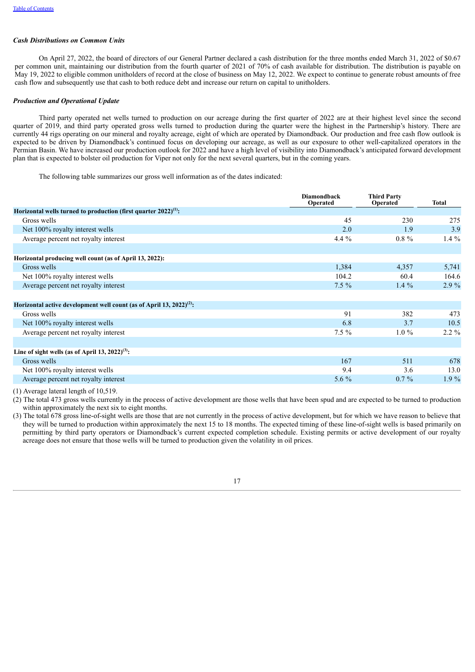#### *Cash Distributions on Common Units*

On April 27, 2022, the board of directors of our General Partner declared a cash distribution for the three months ended March 31, 2022 of \$0.67 per common unit, maintaining our distribution from the fourth quarter of 2021 of 70% of cash available for distribution. The distribution is payable on May 19, 2022 to eligible common unitholders of record at the close of business on May 12, 2022. We expect to continue to generate robust amounts of free cash flow and subsequently use that cash to both reduce debt and increase our return on capital to unitholders.

#### *Production and Operational Update*

Third party operated net wells turned to production on our acreage during the first quarter of 2022 are at their highest level since the second quarter of 2019, and third party operated gross wells turned to production during the quarter were the highest in the Partnership's history. There are currently 44 rigs operating on our mineral and royalty acreage, eight of which are operated by Diamondback. Our production and free cash flow outlook is expected to be driven by Diamondback's continued focus on developing our acreage, as well as our exposure to other well-capitalized operators in the Permian Basin. We have increased our production outlook for 2022 and have a high level of visibility into Diamondback's anticipated forward development plan that is expected to bolster oil production for Viper not only for the next several quarters, but in the coming years.

The following table summarizes our gross well information as of the dates indicated:

|                                                                           | <b>Diamondback</b><br>Operated | <b>Third Party</b><br>Operated | <b>Total</b> |
|---------------------------------------------------------------------------|--------------------------------|--------------------------------|--------------|
| Horizontal wells turned to production (first quarter $2022)^{(1)}$ :      |                                |                                |              |
| Gross wells                                                               | 45                             | 230                            | 275          |
| Net 100% royalty interest wells                                           | 2.0                            | 1.9                            | 3.9          |
| Average percent net royalty interest                                      | $4.4\%$                        | $0.8 \%$                       | $1.4\%$      |
| Horizontal producing well count (as of April 13, 2022):                   |                                |                                |              |
| Gross wells                                                               | 1.384                          | 4,357                          | 5,741        |
| Net 100% royalty interest wells                                           | 104.2                          | 60.4                           | 164.6        |
| Average percent net royalty interest                                      | $7.5\%$                        | $1.4\%$                        | 2.9%         |
| Horizontal active development well count (as of April 13, $2022)^{(2)}$ : |                                |                                |              |
| Gross wells                                                               | 91                             | 382                            | 473          |
| Net 100% royalty interest wells                                           | 6.8                            | 3.7                            | 10.5         |
| Average percent net royalty interest                                      | $7.5\%$                        | $1.0\%$                        | $2.2\%$      |
| Line of sight wells (as of April 13, 2022) <sup>(3)</sup> :               |                                |                                |              |
| Gross wells                                                               | 167                            | 511                            | 678          |
| Net 100% royalty interest wells                                           | 9.4                            | 3.6                            | 13.0         |
| Average percent net royalty interest                                      | 5.6 $%$                        | $0.7\%$                        | $1.9\%$      |

(1) Average lateral length of 10,519.

(2) The total 473 gross wells currently in the process of active development are those wells that have been spud and are expected to be turned to production within approximately the next six to eight months.

<span id="page-22-0"></span>(3) The total 678 gross line-of-sight wells are those that are not currently in the process of active development, but for which we have reason to believe that they will be turned to production within approximately the next 15 to 18 months. The expected timing of these line-of-sight wells is based primarily on permitting by third party operators or Diamondback's current expected completion schedule. Existing permits or active development of our royalty acreage does not ensure that those wells will be turned to production given the volatility in oil prices.

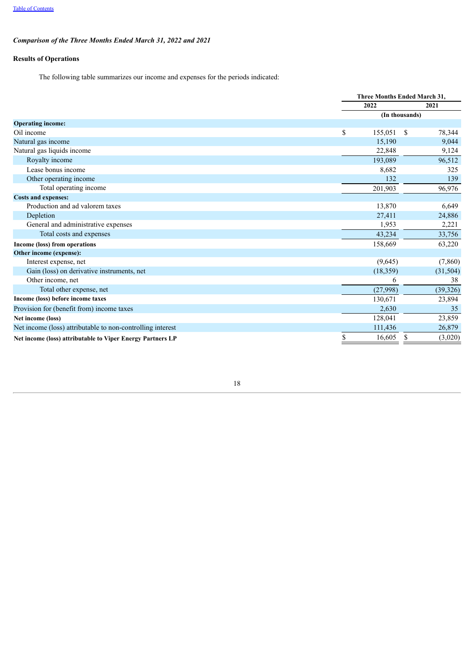# *Comparison of the Three Months Ended March 31, 2022 and 2021*

# **Results of Operations**

The following table summarizes our income and expenses for the periods indicated:

|                                                            |      | <b>Three Months Ended March 31.</b> |               |           |  |
|------------------------------------------------------------|------|-------------------------------------|---------------|-----------|--|
|                                                            | 2022 | 2021                                |               |           |  |
|                                                            |      | (In thousands)                      |               |           |  |
| <b>Operating income:</b>                                   |      |                                     |               |           |  |
| Oil income                                                 | \$   | 155,051                             | <sup>\$</sup> | 78,344    |  |
| Natural gas income                                         |      | 15,190                              |               | 9,044     |  |
| Natural gas liquids income                                 |      | 22,848                              |               | 9,124     |  |
| Royalty income                                             |      | 193,089                             |               | 96,512    |  |
| Lease bonus income                                         |      | 8,682                               |               | 325       |  |
| Other operating income                                     |      | 132                                 |               | 139       |  |
| Total operating income                                     |      | 201,903                             |               | 96,976    |  |
| <b>Costs and expenses:</b>                                 |      |                                     |               |           |  |
| Production and ad valorem taxes                            |      | 13,870                              |               | 6,649     |  |
| Depletion                                                  |      | 27,411                              |               | 24,886    |  |
| General and administrative expenses                        |      | 1,953                               |               | 2,221     |  |
| Total costs and expenses                                   |      | 43,234                              |               | 33,756    |  |
| Income (loss) from operations                              |      | 158,669                             |               | 63,220    |  |
| Other income (expense):                                    |      |                                     |               |           |  |
| Interest expense, net                                      |      | (9,645)                             |               | (7,860)   |  |
| Gain (loss) on derivative instruments, net                 |      | (18, 359)                           |               | (31, 504) |  |
| Other income, net                                          |      | 6                                   |               | 38        |  |
| Total other expense, net                                   |      | (27,998)                            |               | (39, 326) |  |
| Income (loss) before income taxes                          |      | 130,671                             |               | 23,894    |  |
| Provision for (benefit from) income taxes                  |      | 2,630                               |               | 35        |  |
| Net income (loss)                                          |      | 128,041                             |               | 23,859    |  |
| Net income (loss) attributable to non-controlling interest |      | 111,436                             |               | 26,879    |  |
| Net income (loss) attributable to Viper Energy Partners LP | \$   | 16,605                              | \$            | (3,020)   |  |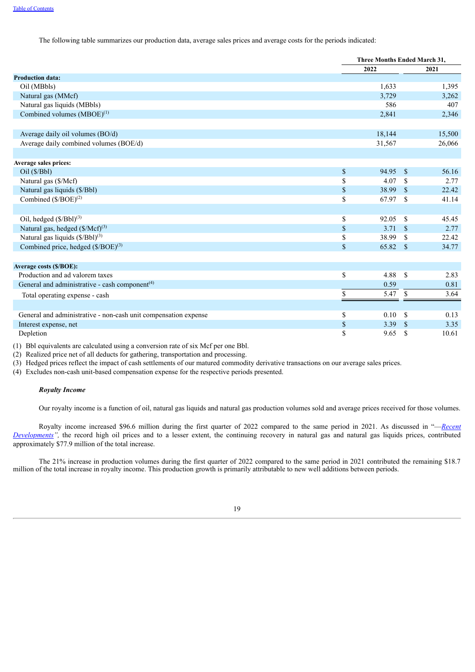The following table summarizes our production data, average sales prices and average costs for the periods indicated:

|                                                                 | Three Months Ended March 31, |                    |        |  |
|-----------------------------------------------------------------|------------------------------|--------------------|--------|--|
|                                                                 | 2022                         |                    | 2021   |  |
| <b>Production data:</b>                                         |                              |                    |        |  |
| Oil (MBbls)                                                     | 1,633                        |                    | 1,395  |  |
| Natural gas (MMcf)                                              | 3,729                        |                    | 3,262  |  |
| Natural gas liquids (MBbls)                                     | 586                          |                    | 407    |  |
| Combined volumes (MBOE) <sup>(1)</sup>                          | 2,841                        |                    | 2,346  |  |
| Average daily oil volumes (BO/d)                                | 18,144                       |                    | 15,500 |  |
| Average daily combined volumes (BOE/d)                          | 31,567                       |                    | 26,066 |  |
| <b>Average sales prices:</b>                                    |                              |                    |        |  |
| $Oil$ ( $$/Bbl$ )                                               | \$<br>94.95                  | $\mathbf{\hat{s}}$ | 56.16  |  |
| Natural gas (\$/Mcf)                                            | \$<br>4.07                   | <sup>\$</sup>      | 2.77   |  |
| Natural gas liquids (\$/Bbl)                                    | \$<br>38.99                  | $\mathcal{S}$      | 22.42  |  |
| Combined $(\frac{C}{BOE})^{(2)}$                                | \$<br>67.97                  | -\$                | 41.14  |  |
| Oil, hedged $(\frac{S}{Bb}1)^{(3)}$                             | \$<br>92.05                  | -S                 | 45.45  |  |
| Natural gas, hedged (\$/Mcf) <sup>(3)</sup>                     | \$<br>3.71                   | -S                 | 2.77   |  |
| Natural gas liquids (\$/Bbl) <sup>(3)</sup>                     | \$<br>38.99                  | -S                 | 22.42  |  |
| Combined price, hedged $(\frac{6}{BOE})^{(3)}$                  | \$<br>65.82                  | - \$               | 34.77  |  |
| Average costs (\$/BOE):                                         |                              |                    |        |  |
| Production and ad valorem taxes                                 | \$<br>4.88                   | <sup>\$</sup>      | 2.83   |  |
| General and administrative - cash component <sup>(4)</sup>      | 0.59                         |                    | 0.81   |  |
| Total operating expense - cash                                  | \$<br>5.47                   | \$                 | 3.64   |  |
|                                                                 |                              |                    |        |  |
| General and administrative - non-cash unit compensation expense | \$<br>0.10                   | -\$                | 0.13   |  |
| Interest expense, net                                           | \$<br>3.39                   | <sup>\$</sup>      | 3.35   |  |
| Depletion                                                       | \$<br>9.65                   | <sup>\$</sup>      | 10.61  |  |

(1) Bbl equivalents are calculated using a conversion rate of six Mcf per one Bbl.

(2) Realized price net of all deducts for gathering, transportation and processing.

(3) Hedged prices reflect the impact of cash settlements of our matured commodity derivative transactions on our average sales prices.

(4) Excludes non-cash unit-based compensation expense for the respective periods presented.

#### *Royalty Income*

Our royalty income is a function of oil, natural gas liquids and natural gas production volumes sold and average prices received for those volumes.

Royalty income increased \$96.6 million during the first quarter of 2022 compared to the same period in 2021. As discussed in "—*Recent Developments*", the record high oil prices and to a lesser extent, the continuing recovery in natural gas and natural gas liquids prices, contributed approximately \$77.9 million of the total increase.

The 21% increase in production volumes during the first quarter of 2022 compared to the same period in 2021 contributed the remaining \$18.7 million of the total increase in royalty income. This production growth is primarily attributable to new well additions between periods.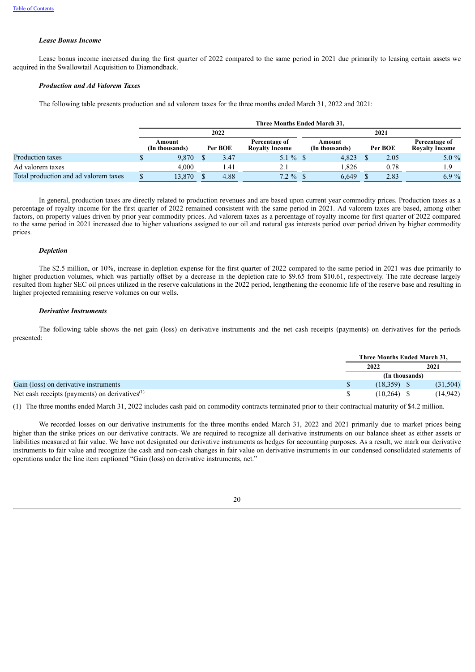#### *Lease Bonus Income*

Lease bonus income increased during the first quarter of 2022 compared to the same period in 2021 due primarily to leasing certain assets we acquired in the Swallowtail Acquisition to Diamondback.

#### *Production and Ad Valorem Taxes*

The following table presents production and ad valorem taxes for the three months ended March 31, 2022 and 2021:

|                                       |                          |         | Three Months Ended March 31,           |                          |         |                                        |
|---------------------------------------|--------------------------|---------|----------------------------------------|--------------------------|---------|----------------------------------------|
|                                       |                          | 2022    |                                        |                          | 2021    |                                        |
|                                       | Amount<br>(In thousands) | Per BOE | Percentage of<br><b>Rovalty Income</b> | Amount<br>(In thousands) | Per BOE | Percentage of<br><b>Royalty Income</b> |
| Production taxes                      | 9,870                    | 3.47    | 5.1 $\%$ \$                            | 4,823                    | 2.05    | $5.0\%$                                |
| Ad valorem taxes                      | 4.000                    | 1.41    |                                        | 1.826                    | 0.78    | 1.9                                    |
| Total production and ad valorem taxes | 13,870                   | 4.88    | $7.2 \%$ \$                            | 6.649                    | 2.83    | $6.9\%$                                |

In general, production taxes are directly related to production revenues and are based upon current year commodity prices. Production taxes as a percentage of royalty income for the first quarter of 2022 remained consistent with the same period in 2021. Ad valorem taxes are based, among other factors, on property values driven by prior year commodity prices. Ad valorem taxes as a percentage of royalty income for first quarter of 2022 compared to the same period in 2021 increased due to higher valuations assigned to our oil and natural gas interests period over period driven by higher commodity prices.

#### *Depletion*

The \$2.5 million, or 10%, increase in depletion expense for the first quarter of 2022 compared to the same period in 2021 was due primarily to higher production volumes, which was partially offset by a decrease in the depletion rate to \$9.65 from \$10.61, respectively. The rate decrease largely resulted from higher SEC oil prices utilized in the reserve calculations in the 2022 period, lengthening the economic life of the reserve base and resulting in higher projected remaining reserve volumes on our wells.

#### *Derivative Instruments*

The following table shows the net gain (loss) on derivative instruments and the net cash receipts (payments) on derivatives for the periods presented:

|                                                   |               | Three Months Ended March 31. |
|---------------------------------------------------|---------------|------------------------------|
|                                                   | 2022          | 2021                         |
|                                                   |               | (In thousands)               |
| Gain (loss) on derivative instruments             | $(18,359)$ \$ | (31,504)                     |
| Net cash receipts (payments) on derivatives $(1)$ | $(10.264)$ \$ | (14.942)                     |

(1) The three months ended March 31, 2022 includes cash paid on commodity contracts terminated prior to their contractual maturity of \$4.2 million.

We recorded losses on our derivative instruments for the three months ended March 31, 2022 and 2021 primarily due to market prices being higher than the strike prices on our derivative contracts. We are required to recognize all derivative instruments on our balance sheet as either assets or liabilities measured at fair value. We have not designated our derivative instruments as hedges for accounting purposes. As a result, we mark our derivative instruments to fair value and recognize the cash and non-cash changes in fair value on derivative instruments in our condensed consolidated statements of operations under the line item captioned "Gain (loss) on derivative instruments, net."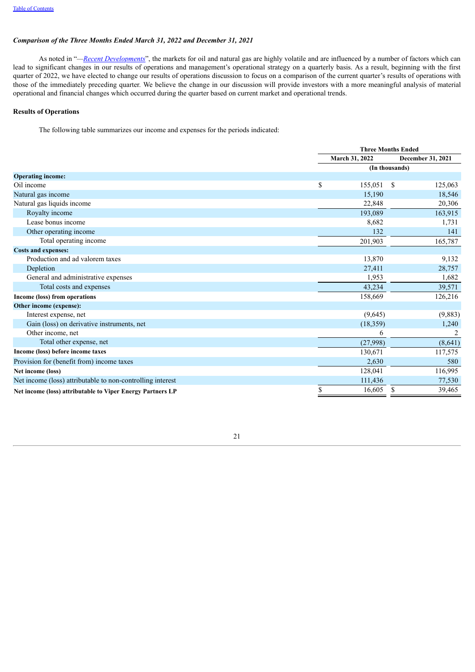# *Comparison of the Three Months Ended March 31, 2022 and December 31, 2021*

As noted in "-Recent *[Developments](#page-21-0)*", the markets for oil and natural gas are highly volatile and are influenced by a number of factors which can lead to significant changes in our results of operations and management's operational strategy on a quarterly basis. As a result, beginning with the first quarter of 2022, we have elected to change our results of operations discussion to focus on a comparison of the current quarter's results of operations with those of the immediately preceding quarter. We believe the change in our discussion will provide investors with a more meaningful analysis of material operational and financial changes which occurred during the quarter based on current market and operational trends.

# **Results of Operations**

The following table summarizes our income and expenses for the periods indicated:

|                                                            | <b>Three Months Ended</b>                  |                |  |  |
|------------------------------------------------------------|--------------------------------------------|----------------|--|--|
|                                                            | March 31, 2022<br><b>December 31, 2021</b> |                |  |  |
|                                                            |                                            | (In thousands) |  |  |
| <b>Operating income:</b>                                   |                                            |                |  |  |
| Oil income                                                 | \$<br>155,051                              | 125,063<br>\$  |  |  |
| Natural gas income                                         | 15,190                                     | 18,546         |  |  |
| Natural gas liquids income                                 | 22,848                                     | 20,306         |  |  |
| Royalty income                                             | 193,089                                    | 163,915        |  |  |
| Lease bonus income                                         | 8,682                                      | 1,731          |  |  |
| Other operating income                                     | 132                                        | 141            |  |  |
| Total operating income                                     | 201,903                                    | 165,787        |  |  |
| <b>Costs and expenses:</b>                                 |                                            |                |  |  |
| Production and ad valorem taxes                            | 13,870                                     | 9,132          |  |  |
| Depletion                                                  | 27,411                                     | 28,757         |  |  |
| General and administrative expenses                        | 1,953                                      | 1,682          |  |  |
| Total costs and expenses                                   | 43,234                                     | 39,571         |  |  |
| Income (loss) from operations                              | 158,669                                    | 126,216        |  |  |
| Other income (expense):                                    |                                            |                |  |  |
| Interest expense, net                                      | (9,645)                                    | (9,883)        |  |  |
| Gain (loss) on derivative instruments, net                 | (18, 359)                                  | 1,240          |  |  |
| Other income, net                                          | 6                                          | 2              |  |  |
| Total other expense, net                                   | (27,998)                                   | (8,641)        |  |  |
| Income (loss) before income taxes                          | 130,671                                    | 117,575        |  |  |
| Provision for (benefit from) income taxes                  | 2,630                                      | 580            |  |  |
| Net income (loss)                                          | 128,041                                    | 116,995        |  |  |
| Net income (loss) attributable to non-controlling interest | 111,436                                    | 77,530         |  |  |
| Net income (loss) attributable to Viper Energy Partners LP | 16,605                                     | 39,465<br>\$   |  |  |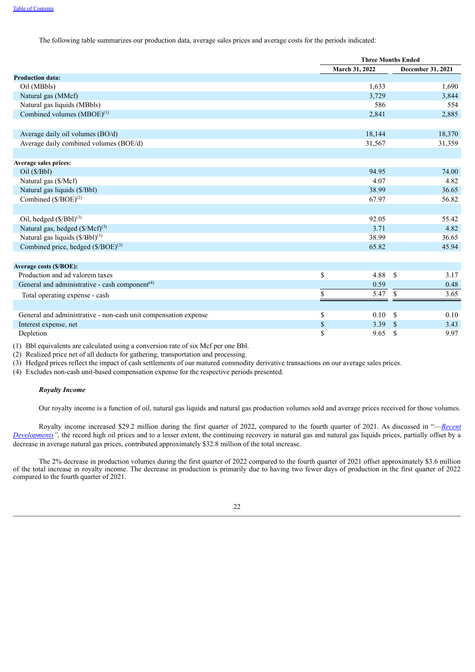The following table summarizes our production data, average sales prices and average costs for the periods indicated:

|                                                                 |      | <b>Three Months Ended</b> |               |                          |  |
|-----------------------------------------------------------------|------|---------------------------|---------------|--------------------------|--|
|                                                                 |      | March 31, 2022            |               | <b>December 31, 2021</b> |  |
| <b>Production data:</b>                                         |      |                           |               |                          |  |
| Oil (MBbls)                                                     |      | 1,633                     |               | 1,690                    |  |
| Natural gas (MMcf)                                              |      | 3,729                     |               | 3,844                    |  |
| Natural gas liquids (MBbls)                                     |      | 586                       |               | 554                      |  |
| Combined volumes (MBOE) <sup>(1)</sup>                          |      | 2,841                     |               | 2,885                    |  |
|                                                                 |      |                           |               |                          |  |
| Average daily oil volumes (BO/d)                                |      | 18,144                    |               | 18,370                   |  |
| Average daily combined volumes (BOE/d)                          |      | 31,567                    |               | 31,359                   |  |
|                                                                 |      |                           |               |                          |  |
| Average sales prices:                                           |      |                           |               |                          |  |
| Oil (\$/Bbl)                                                    |      | 94.95                     |               | 74.00                    |  |
| Natural gas (\$/Mcf)                                            |      | 4.07                      |               | 4.82                     |  |
| Natural gas liquids (\$/Bbl)                                    |      | 38.99                     |               | 36.65                    |  |
| Combined (\$/BOE) <sup>(2)</sup>                                |      | 67.97                     |               | 56.82                    |  |
|                                                                 |      |                           |               |                          |  |
| Oil, hedged $(\frac{S}{Bb}1)^{(3)}$                             |      | 92.05                     |               | 55.42                    |  |
| Natural gas, hedged (\$/Mcf) <sup>(3)</sup>                     |      | 3.71                      |               | 4.82                     |  |
| Natural gas liquids (\$/Bbl) <sup>(3)</sup>                     |      | 38.99                     |               | 36.65                    |  |
| Combined price, hedged $(\frac{6}{BOE})^{(3)}$                  |      | 65.82                     |               | 45.94                    |  |
|                                                                 |      |                           |               |                          |  |
| Average costs (\$/BOE):                                         |      |                           |               |                          |  |
| Production and ad valorem taxes                                 | \$   | 4.88                      | - \$          | 3.17                     |  |
| General and administrative - cash component <sup>(4)</sup>      |      | 0.59                      |               | 0.48                     |  |
| Total operating expense - cash                                  | \$   | 5.47                      | <sup>\$</sup> | 3.65                     |  |
|                                                                 |      |                           |               |                          |  |
| General and administrative - non-cash unit compensation expense | \$   | 0.10                      | <sup>\$</sup> | 0.10                     |  |
| Interest expense, net                                           | $\$$ | 3.39                      | $\mathbf{s}$  | 3.43                     |  |
| Depletion                                                       | \$   | 9.65                      | -S            | 9.97                     |  |

(1) Bbl equivalents are calculated using a conversion rate of six Mcf per one Bbl.

(2) Realized price net of all deducts for gathering, transportation and processing.

(3) Hedged prices reflect the impact of cash settlements of our matured commodity derivative transactions on our average sales prices.

(4) Excludes non-cash unit-based compensation expense for the respective periods presented.

#### *Royalty Income*

Our royalty income is a function of oil, natural gas liquids and natural gas production volumes sold and average prices received for those volumes.

Royalty income increased \$29.2 million during the first quarter of 2022, compared to the fourth quarter of 2021. As discussed in "—*Recent Developments*", the record high oil prices and to a lesser extent, the continuing recovery in natural gas and natural gas liquids prices, partially offset by a decrease in average natural gas prices, contributed approximately \$32.8 million of the total increase.

The 2% decrease in production volumes during the first quarter of 2022 compared to the fourth quarter of 2021 offset approximately \$3.6 million of the total increase in royalty income. The decrease in production is primarily due to having two fewer days of production in the first quarter of 2022 compared to the fourth quarter of 2021.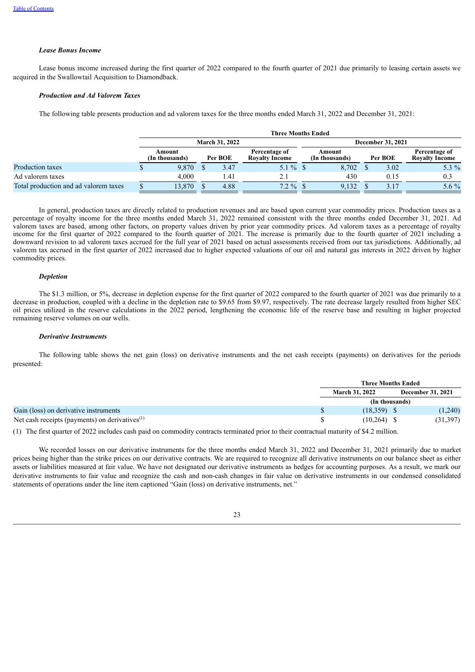#### *Lease Bonus Income*

Lease bonus income increased during the first quarter of 2022 compared to the fourth quarter of 2021 due primarily to leasing certain assets we acquired in the Swallowtail Acquisition to Diamondback.

#### *Production and Ad Valorem Taxes*

The following table presents production and ad valorem taxes for the three months ended March 31, 2022 and December 31, 2021:

|                                       |                          |                       | <b>Three Months Ended</b>              |                          |                          |                                        |
|---------------------------------------|--------------------------|-----------------------|----------------------------------------|--------------------------|--------------------------|----------------------------------------|
|                                       |                          | <b>March 31, 2022</b> |                                        |                          | <b>December 31, 2021</b> |                                        |
|                                       | Amount<br>(In thousands) | Per BOE               | Percentage of<br><b>Rovalty Income</b> | Amount<br>(In thousands) | Per BOE                  | Percentage of<br><b>Rovalty Income</b> |
| Production taxes                      | 9,870                    | 3.47                  | 5.1 $\%$ \$                            | 8,702                    | 3.02                     | 5.3 $%$                                |
| Ad valorem taxes                      | 4.000                    | 1.41                  |                                        | 430                      | 0.15                     | 0.3                                    |
| Total production and ad valorem taxes | 13,870                   | 4.88                  | $7.2 \%$ \$                            | 9,132                    |                          | $5.6\%$                                |

In general, production taxes are directly related to production revenues and are based upon current year commodity prices. Production taxes as a percentage of royalty income for the three months ended March 31, 2022 remained consistent with the three months ended December 31, 2021. Ad valorem taxes are based, among other factors, on property values driven by prior year commodity prices. Ad valorem taxes as a percentage of royalty income for the first quarter of 2022 compared to the fourth quarter of 2021. The increase is primarily due to the fourth quarter of 2021 including a downward revision to ad valorem taxes accrued for the full year of 2021 based on actual assessments received from our tax jurisdictions. Additionally, ad valorem tax accrued in the first quarter of 2022 increased due to higher expected valuations of our oil and natural gas interests in 2022 driven by higher commodity prices.

#### *Depletion*

The \$1.3 million, or 5%, decrease in depletion expense for the first quarter of 2022 compared to the fourth quarter of 2021 was due primarily to a decrease in production, coupled with a decline in the depletion rate to \$9.65 from \$9.97, respectively. The rate decrease largely resulted from higher SEC oil prices utilized in the reserve calculations in the 2022 period, lengthening the economic life of the reserve base and resulting in higher projected remaining reserve volumes on our wells.

#### *Derivative Instruments*

The following table shows the net gain (loss) on derivative instruments and the net cash receipts (payments) on derivatives for the periods presented:

|                                                   | <b>Three Months Ended</b> |                          |           |  |
|---------------------------------------------------|---------------------------|--------------------------|-----------|--|
|                                                   | <b>March 31, 2022</b>     | <b>December 31, 2021</b> |           |  |
|                                                   | (In thousands)            |                          |           |  |
| Gain (loss) on derivative instruments             | $(18,359)$ \$             |                          | (1,240)   |  |
| Net cash receipts (payments) on derivatives $(1)$ | $(10,264)$ \$             |                          | (31, 397) |  |

(1) The first quarter of 2022 includes cash paid on commodity contracts terminated prior to their contractual maturity of \$4.2 million.

We recorded losses on our derivative instruments for the three months ended March 31, 2022 and December 31, 2021 primarily due to market prices being higher than the strike prices on our derivative contracts. We are required to recognize all derivative instruments on our balance sheet as either assets or liabilities measured at fair value. We have not designated our derivative instruments as hedges for accounting purposes. As a result, we mark our derivative instruments to fair value and recognize the cash and non-cash changes in fair value on derivative instruments in our condensed consolidated statements of operations under the line item captioned "Gain (loss) on derivative instruments, net."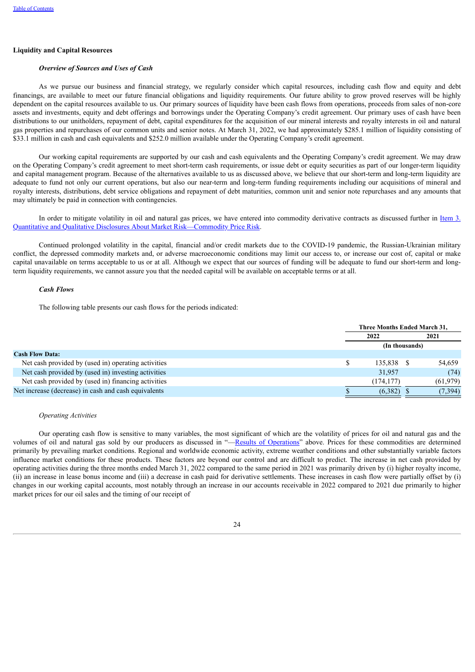#### **Liquidity and Capital Resources**

#### *Overview of Sources and Uses of Cash*

As we pursue our business and financial strategy, we regularly consider which capital resources, including cash flow and equity and debt financings, are available to meet our future financial obligations and liquidity requirements. Our future ability to grow proved reserves will be highly dependent on the capital resources available to us. Our primary sources of liquidity have been cash flows from operations, proceeds from sales of non-core assets and investments, equity and debt offerings and borrowings under the Operating Company's credit agreement. Our primary uses of cash have been distributions to our unitholders, repayment of debt, capital expenditures for the acquisition of our mineral interests and royalty interests in oil and natural gas properties and repurchases of our common units and senior notes. At March 31, 2022, we had approximately \$285.1 million of liquidity consisting of \$33.1 million in cash and cash equivalents and \$252.0 million available under the Operating Company's credit agreement.

Our working capital requirements are supported by our cash and cash equivalents and the Operating Company's credit agreement. We may draw on the Operating Company's credit agreement to meet short-term cash requirements, or issue debt or equity securities as part of our longer-term liquidity and capital management program. Because of the alternatives available to us as discussed above, we believe that our short-term and long-term liquidity are adequate to fund not only our current operations, but also our near-term and long-term funding requirements including our acquisitions of mineral and royalty interests, distributions, debt service obligations and repayment of debt maturities, common unit and senior note repurchases and any amounts that may ultimately be paid in connection with contingencies.

In order to mitigate volatility in oil and natural gas prices, we have entered into commodity derivative contracts as discussed further in Item 3. Quantitative and Qualitative Disclosures About Market [Risk—Commodity](#page-31-0) Price Risk.

Continued prolonged volatility in the capital, financial and/or credit markets due to the COVID-19 pandemic, the Russian-Ukrainian military conflict, the depressed commodity markets and, or adverse macroeconomic conditions may limit our access to, or increase our cost of, capital or make capital unavailable on terms acceptable to us or at all. Although we expect that our sources of funding will be adequate to fund our short-term and longterm liquidity requirements, we cannot assure you that the needed capital will be available on acceptable terms or at all.

#### *Cash Flows*

The following table presents our cash flows for the periods indicated:

|                                                      | Three Months Ended March 31, |  |           |  |
|------------------------------------------------------|------------------------------|--|-----------|--|
|                                                      | 2022<br>2021                 |  |           |  |
|                                                      | (In thousands)               |  |           |  |
| <b>Cash Flow Data:</b>                               |                              |  |           |  |
| Net cash provided by (used in) operating activities  | 135,838 \$                   |  | 54,659    |  |
| Net cash provided by (used in) investing activities  | 31,957                       |  | (74)      |  |
| Net cash provided by (used in) financing activities  | (174, 177)                   |  | (61, 979) |  |
| Net increase (decrease) in cash and cash equivalents | (6,382)                      |  | (7, 394)  |  |

#### *Operating Activities*

Our operating cash flow is sensitive to many variables, the most significant of which are the volatility of prices for oil and natural gas and the volumes of oil and natural gas sold by our producers as discussed in "[—Result](#page-22-0)s of [Operations](#page-22-0)" above. Prices for these commodities are determined primarily by prevailing market conditions. Regional and worldwide economic activity, extreme weather conditions and other substantially variable factors influence market conditions for these products. These factors are beyond our control and are difficult to predict. The increase in net cash provided by operating activities during the three months ended March 31, 2022 compared to the same period in 2021 was primarily driven by (i) higher royalty income, (ii) an increase in lease bonus income and (iii) a decrease in cash paid for derivative settlements. These increases in cash flow were partially offset by (i) changes in our working capital accounts, most notably through an increase in our accounts receivable in 2022 compared to 2021 due primarily to higher market prices for our oil sales and the timing of our receipt of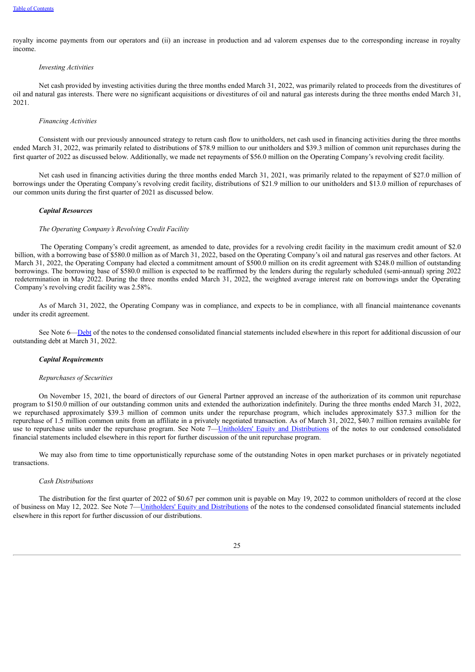royalty income payments from our operators and (ii) an increase in production and ad valorem expenses due to the corresponding increase in royalty income.

## *Investing Activities*

Net cash provided by investing activities during the three months ended March 31, 2022, was primarily related to proceeds from the divestitures of oil and natural gas interests. There were no significant acquisitions or divestitures of oil and natural gas interests during the three months ended March 31, 2021.

#### *Financing Activities*

Consistent with our previously announced strategy to return cash flow to unitholders, net cash used in financing activities during the three months ended March 31, 2022, was primarily related to distributions of \$78.9 million to our unitholders and \$39.3 million of common unit repurchases during the first quarter of 2022 as discussed below. Additionally, we made net repayments of \$56.0 million on the Operating Company's revolving credit facility.

Net cash used in financing activities during the three months ended March 31, 2021, was primarily related to the repayment of \$27.0 million of borrowings under the Operating Company's revolving credit facility, distributions of \$21.9 million to our unitholders and \$13.0 million of repurchases of our common units during the first quarter of 2021 as discussed below.

#### *Capital Resources*

#### *The Operating Company's Revolving Credit Facility*

The Operating Company's credit agreement, as amended to date, provides for a revolving credit facility in the maximum credit amount of \$2.0 billion, with a borrowing base of \$580.0 million as of March 31, 2022, based on the Operating Company's oil and natural gas reserves and other factors. At March 31, 2022, the Operating Company had elected a commitment amount of \$500.0 million on its credit agreement with \$248.0 million of outstanding borrowings. The borrowing base of \$580.0 million is expected to be reaffirmed by the lenders during the regularly scheduled (semi-annual) spring 2022 redetermination in May 2022. During the three months ended March 31, 2022, the weighted average interest rate on borrowings under the Operating Company's revolving credit facility was 2.58%.

As of March 31, 2022, the Operating Company was in compliance, and expects to be in compliance, with all financial maintenance covenants under its credit agreement.

See Note 6[—Debt](#page-13-1) of the notes to the condensed consolidated financial statements included elsewhere in this report for additional discussion of our outstanding debt at March 31, 2022.

#### *Capital Requirements*

#### *Repurchases of Securities*

On November 15, 2021, the board of directors of our General Partner approved an increase of the authorization of its common unit repurchase program to \$150.0 million of our outstanding common units and extended the authorization indefinitely. During the three months ended March 31, 2022, we repurchased approximately \$39.3 million of common units under the repurchase program, which includes approximately \$37.3 million for the repurchase of 1.5 million common units from an affiliate in a privately negotiated transaction. As of March 31, 2022, \$40.7 million remains available for use to repurchase units under the repurchase program. See Note 7—Unitholders' Equity and [Distributions](#page-13-0) of the notes to our condensed consolidated financial statements included elsewhere in this report for further discussion of the unit repurchase program.

We may also from time to time opportunistically repurchase some of the outstanding Notes in open market purchases or in privately negotiated transactions.

#### *Cash Distributions*

The distribution for the first quarter of 2022 of \$0.67 per common unit is payable on May 19, 2022 to common unitholders of record at the close of business on May 12, 2022. See Note 7—Unitholders' Equity and [Distributions](#page-13-0) of the notes to the condensed consolidated financial statements included elsewhere in this report for further discussion of our distributions.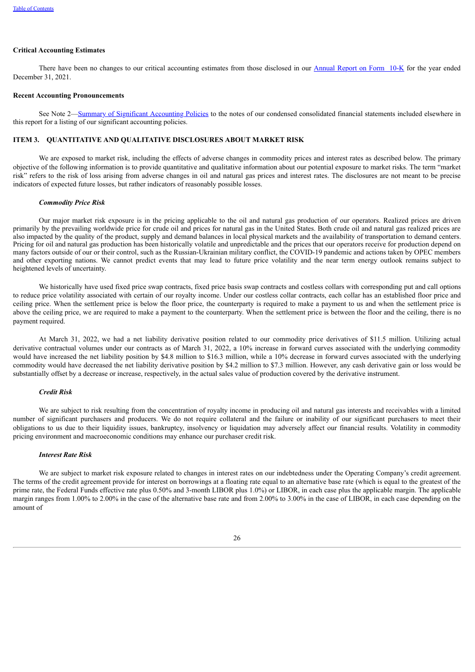#### **Critical Accounting Estimates**

There have been no changes to our critical accounting estimates from those disclosed in our [Annual](http://www.sec.gov/ix?doc=/Archives/edgar/data/1602065/000160206522000008/vnom-20211231.htm) Report on Form 10-K for the year ended December 31, 2021.

#### **Recent Accounting Pronouncements**

See Note 2—Summary of Significant [Accounting](#page-10-0) Policies to the notes of our condensed consolidated financial statements included elsewhere in this report for a listing of our significant accounting policies.

# <span id="page-31-0"></span>**ITEM 3. QUANTITATIVE AND QUALITATIVE DISCLOSURES ABOUT MARKET RISK**

We are exposed to market risk, including the effects of adverse changes in commodity prices and interest rates as described below. The primary objective of the following information is to provide quantitative and qualitative information about our potential exposure to market risks. The term "market risk" refers to the risk of loss arising from adverse changes in oil and natural gas prices and interest rates. The disclosures are not meant to be precise indicators of expected future losses, but rather indicators of reasonably possible losses.

#### *Commodity Price Risk*

Our major market risk exposure is in the pricing applicable to the oil and natural gas production of our operators. Realized prices are driven primarily by the prevailing worldwide price for crude oil and prices for natural gas in the United States. Both crude oil and natural gas realized prices are also impacted by the quality of the product, supply and demand balances in local physical markets and the availability of transportation to demand centers. Pricing for oil and natural gas production has been historically volatile and unpredictable and the prices that our operators receive for production depend on many factors outside of our or their control, such as the Russian-Ukrainian military conflict, the COVID-19 pandemic and actions taken by OPEC members and other exporting nations. We cannot predict events that may lead to future price volatility and the near term energy outlook remains subject to heightened levels of uncertainty.

We historically have used fixed price swap contracts, fixed price basis swap contracts and costless collars with corresponding put and call options to reduce price volatility associated with certain of our royalty income. Under our costless collar contracts, each collar has an established floor price and ceiling price. When the settlement price is below the floor price, the counterparty is required to make a payment to us and when the settlement price is above the ceiling price, we are required to make a payment to the counterparty. When the settlement price is between the floor and the ceiling, there is no payment required.

At March 31, 2022, we had a net liability derivative position related to our commodity price derivatives of \$11.5 million. Utilizing actual derivative contractual volumes under our contracts as of March 31, 2022, a 10% increase in forward curves associated with the underlying commodity would have increased the net liability position by \$4.8 million to \$16.3 million, while a 10% decrease in forward curves associated with the underlying commodity would have decreased the net liability derivative position by \$4.2 million to \$7.3 million. However, any cash derivative gain or loss would be substantially offset by a decrease or increase, respectively, in the actual sales value of production covered by the derivative instrument.

#### *Credit Risk*

We are subject to risk resulting from the concentration of royalty income in producing oil and natural gas interests and receivables with a limited number of significant purchasers and producers. We do not require collateral and the failure or inability of our significant purchasers to meet their obligations to us due to their liquidity issues, bankruptcy, insolvency or liquidation may adversely affect our financial results. Volatility in commodity pricing environment and macroeconomic conditions may enhance our purchaser credit risk.

#### *Interest Rate Risk*

We are subject to market risk exposure related to changes in interest rates on our indebtedness under the Operating Company's credit agreement. The terms of the credit agreement provide for interest on borrowings at a floating rate equal to an alternative base rate (which is equal to the greatest of the prime rate, the Federal Funds effective rate plus 0.50% and 3-month LIBOR plus 1.0%) or LIBOR, in each case plus the applicable margin. The applicable margin ranges from 1.00% to 2.00% in the case of the alternative base rate and from 2.00% to 3.00% in the case of LIBOR, in each case depending on the amount of

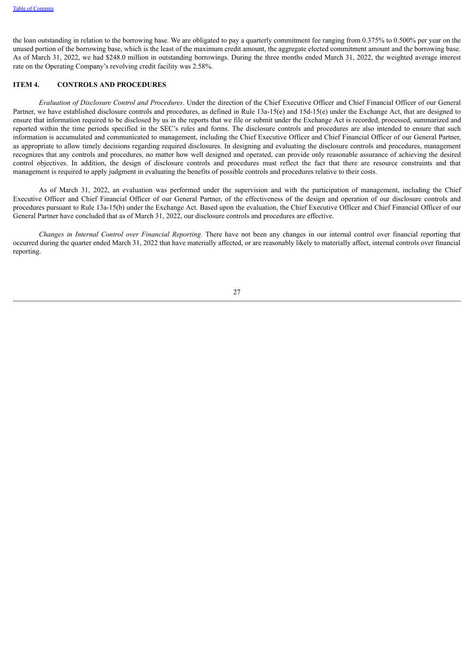the loan outstanding in relation to the borrowing base. We are obligated to pay a quarterly commitment fee ranging from 0.375% to 0.500% per year on the unused portion of the borrowing base, which is the least of the maximum credit amount, the aggregate elected commitment amount and the borrowing base. As of March 31, 2022, we had \$248.0 million in outstanding borrowings. During the three months ended March 31, 2022, the weighted average interest rate on the Operating Company's revolving credit facility was 2.58%.

# <span id="page-32-0"></span>**ITEM 4. CONTROLS AND PROCEDURES**

*Evaluation of Disclosure Control and Procedures*. Under the direction of the Chief Executive Officer and Chief Financial Officer of our General Partner, we have established disclosure controls and procedures, as defined in Rule 13a-15(e) and 15d-15(e) under the Exchange Act, that are designed to ensure that information required to be disclosed by us in the reports that we file or submit under the Exchange Act is recorded, processed, summarized and reported within the time periods specified in the SEC's rules and forms. The disclosure controls and procedures are also intended to ensure that such information is accumulated and communicated to management, including the Chief Executive Officer and Chief Financial Officer of our General Partner, as appropriate to allow timely decisions regarding required disclosures. In designing and evaluating the disclosure controls and procedures, management recognizes that any controls and procedures, no matter how well designed and operated, can provide only reasonable assurance of achieving the desired control objectives. In addition, the design of disclosure controls and procedures must reflect the fact that there are resource constraints and that management is required to apply judgment in evaluating the benefits of possible controls and procedures relative to their costs.

As of March 31, 2022, an evaluation was performed under the supervision and with the participation of management, including the Chief Executive Officer and Chief Financial Officer of our General Partner, of the effectiveness of the design and operation of our disclosure controls and procedures pursuant to Rule 13a-15(b) under the Exchange Act. Based upon the evaluation, the Chief Executive Officer and Chief Financial Officer of our General Partner have concluded that as of March 31, 2022, our disclosure controls and procedures are effective.

<span id="page-32-1"></span>*Changes in Internal Control over Financial Reporting*. There have not been any changes in our internal control over financial reporting that occurred during the quarter ended March 31, 2022 that have materially affected, or are reasonably likely to materially affect, internal controls over financial reporting.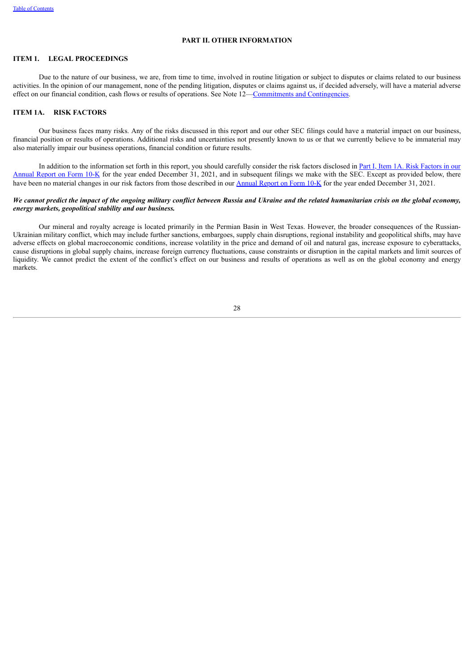#### **PART II. OTHER INFORMATION**

# <span id="page-33-0"></span>**ITEM 1. LEGAL PROCEEDINGS**

Due to the nature of our business, we are, from time to time, involved in routine litigation or subject to disputes or claims related to our business activities. In the opinion of our management, none of the pending litigation, disputes or claims against us, if decided adversely, will have a material adverse effect on our financial condition, cash flows or results of operations. See Note 12[—Commitments](#page-20-2) and Contingencies.

#### <span id="page-33-1"></span>**ITEM 1A. RISK FACTORS**

Our business faces many risks. Any of the risks discussed in this report and our other SEC filings could have a material impact on our business, financial position or results of operations. Additional risks and uncertainties not presently known to us or that we currently believe to be immaterial may also materially impair our business operations, financial condition or future results.

In addition to the [information](http://www.sec.gov/ix?doc=/Archives/edgar/data/1602065/000160206522000008/vnom-20211231.htm#iad893e52d5434c44bb2b7248040ef83a_25) set forth in this report, you should carefully consider the risk factors disclosed in Part I, Item 1A. Risk Factors in our Annual Report on Form 10-K for the year ended December 31, 2021, and in subsequent filings we make with the SEC. Except as provided below, there have been no material changes in our risk factors from those described in our **[Annual](http://www.sec.gov/ix?doc=/Archives/edgar/data/1602065/000160206522000008/vnom-20211231.htm#iad893e52d5434c44bb2b7248040ef83a_25) Report on Form 10-K** for the year ended December 31, 2021.

#### We cannot predict the impact of the ongoing military conflict between Russia and Ukraine and the related humanitarian crisis on the global economy, *energy markets, geopolitical stability and our business.*

<span id="page-33-2"></span>Our mineral and royalty acreage is located primarily in the Permian Basin in West Texas. However, the broader consequences of the Russian-Ukrainian military conflict, which may include further sanctions, embargoes, supply chain disruptions, regional instability and geopolitical shifts, may have adverse effects on global macroeconomic conditions, increase volatility in the price and demand of oil and natural gas, increase exposure to cyberattacks, cause disruptions in global supply chains, increase foreign currency fluctuations, cause constraints or disruption in the capital markets and limit sources of liquidity. We cannot predict the extent of the conflict's effect on our business and results of operations as well as on the global economy and energy markets.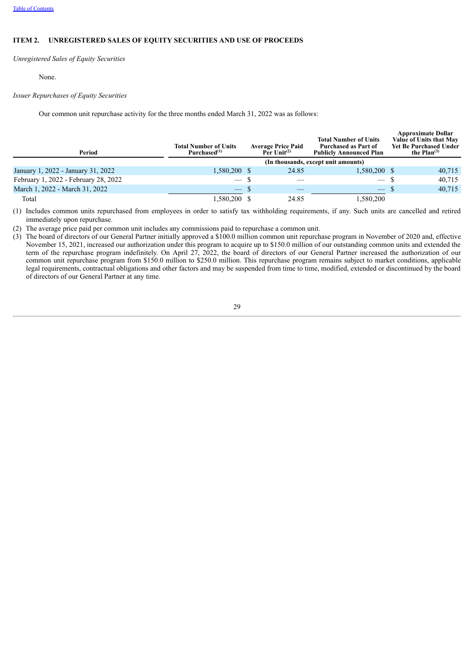# **ITEM 2. UNREGISTERED SALES OF EQUITY SECURITIES AND USE OF PROCEEDS**

*Unregistered Sales of Equity Securities*

None.

#### *Issuer Repurchases of Equity Securities*

Our common unit repurchase activity for the three months ended March 31, 2022 was as follows:

| Period                               | <b>Total Number of Units</b><br>Purchase $d^{(1)}$ | <b>Average Price Paid</b><br>Per $\text{Unit}^{(2)}$ | <b>Total Number of Units</b><br><b>Purchased as Part of</b><br><b>Publicly Announced Plan</b> | <b>Approximate Dollar</b><br><b>Value of Units that May</b><br><b>Yet Be Purchased Under</b><br>the $Plan^{(3)}$ |
|--------------------------------------|----------------------------------------------------|------------------------------------------------------|-----------------------------------------------------------------------------------------------|------------------------------------------------------------------------------------------------------------------|
|                                      |                                                    |                                                      | (In thousands, except unit amounts)                                                           |                                                                                                                  |
| January 1, 2022 - January 31, 2022   | 1,580,200 \$                                       | 24.85                                                | 1,580,200 \$                                                                                  | 40,715                                                                                                           |
| February 1, 2022 - February 28, 2022 | $-$ \$                                             |                                                      |                                                                                               | 40,715                                                                                                           |
| March 1, 2022 - March 31, 2022       | $-$ \$                                             |                                                      | $-$ S                                                                                         | 40,715                                                                                                           |
| Total                                | 1,580,200 \$                                       | 24.85                                                | 1,580,200                                                                                     |                                                                                                                  |

(1) Includes common units repurchased from employees in order to satisfy tax withholding requirements, if any. Such units are cancelled and retired immediately upon repurchase.

(2) The average price paid per common unit includes any commissions paid to repurchase a common unit.

<span id="page-34-0"></span>(3) The board of directors of our General Partner initially approved a \$100.0 million common unit repurchase program in November of 2020 and, effective November 15, 2021, increased our authorization under this program to acquire up to \$150.0 million of our outstanding common units and extended the term of the repurchase program indefinitely. On April 27, 2022, the board of directors of our General Partner increased the authorization of our common unit repurchase program from \$150.0 million to \$250.0 million. This repurchase program remains subject to market conditions, applicable legal requirements, contractual obligations and other factors and may be suspended from time to time, modified, extended or discontinued by the board of directors of our General Partner at any time.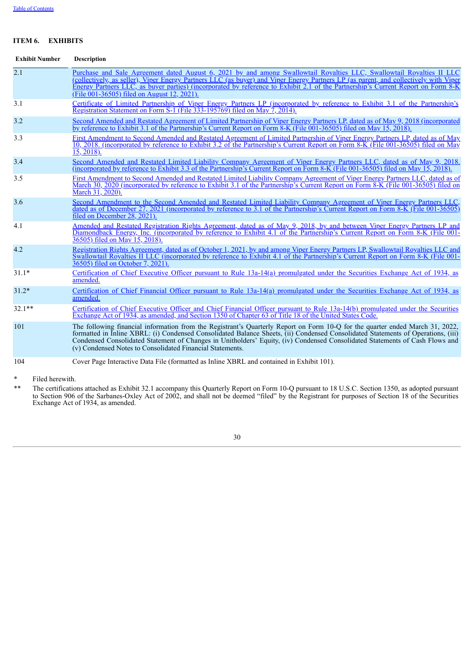# **ITEM 6. EXHIBITS**

| <b>Exhibit Number</b> | <b>Description</b>                                                                                                                                                                                                                                                                                                                                                                                                                                             |
|-----------------------|----------------------------------------------------------------------------------------------------------------------------------------------------------------------------------------------------------------------------------------------------------------------------------------------------------------------------------------------------------------------------------------------------------------------------------------------------------------|
| 2.1                   | Purchase and Sale Agreement dated August 6, 2021 by and among Swallowtail Royalties LLC, Swallowtail Royalties II LLC<br>(collectively, as seller), Viper Energy Partners LLC (as buyer) and Viper Energy Partners LP (as parent, and collectively with Viper<br>Energy Partners LLC, as buyer parties) (incorporated by reference to Exhibit 2.1 of the Partnership's Current Report on Form 8-K<br>(File 001-36505) filed on August 12, 2021).               |
| 3.1                   | Certificate of Limited Partnership of Viper Energy Partners LP (incorporated by reference to Exhibit 3.1 of the Partnership's<br>Registration Statement on Form S-1 (File 333-195769) filed on May 7, 2014).                                                                                                                                                                                                                                                   |
| 3.2                   | Second Amended and Restated Agreement of Limited Partnership of Viper Energy Partners LP, dated as of May 9, 2018 (incorporated<br>by reference to Exhibit 3.1 of the Partnership's Current Report on Form 8-K (File 001-36505) filed on May 15, 2018).                                                                                                                                                                                                        |
| 3.3                   | First Amendment to Second Amended and Restated Agreement of Limited Partnership of Viper Energy Partners LP, dated as of May<br>10, 2018. (incorporated by reference to Exhibit 3.2 of the Partnership's Current Report on Form 8-K (File 001-36505) filed on May<br>$15, 2018$ ).                                                                                                                                                                             |
| 3.4                   | Second Amended and Restated Limited Liability Company Agreement of Viper Energy Partners LLC, dated as of May 9, 2018.<br>(incorporated by reference to Exhibit 3.3 of the Partnership's Current Report on Form 8-K (File 001-36505) filed on May 15, 2018).                                                                                                                                                                                                   |
| 3.5                   | First Amendment to Second Amended and Restated Limited Liability Company Agreement of Viper Energy Partners LLC, dated as of<br>March 30, 2020 (incorporated by reference to Exhibit 3.1 of the Partnership's Current Report on Form 8-K (File 001-36505) filed on<br>March 31, 2020).                                                                                                                                                                         |
| 3.6                   | Second Amendment to the Second Amended and Restated Limited Liability Company Agreement of Viper Energy Partners LLC,<br>dated as of December 27, 2021 (incorporated by reference to 3.1 of the Partnership's Current Report on Form 8-K (File 001-36505)<br>filed on December 28, 2021).                                                                                                                                                                      |
| 4.1                   | Amended and Restated Registration Rights Agreement, dated as of May 9, 2018, by and between Viper Energy Partners LP and<br>Diamondback Energy, Inc. (incorporated by reference to Exhibit 4.1 of the Partnership's Current Report on Form 8-K (File 001-<br>36505) filed on May 15, 2018).                                                                                                                                                                    |
| 4.2                   | Registration Rights Agreement, dated as of October 1, 2021, by and among Viper Energy Partners LP, Swallowtail Royalties LLC and<br>Swallowtail Royalties II LLC (incorporated by reference to Exhibit 4.1 of the Partnership's Current Report on Form 8-K (File 001-<br>36505) filed on October 7, 2021).                                                                                                                                                     |
| $31.1*$               | Certification of Chief Executive Officer pursuant to Rule 13a-14(a) promulgated under the Securities Exchange Act of 1934, as<br>amended.                                                                                                                                                                                                                                                                                                                      |
| $31.2*$               | Certification of Chief Financial Officer pursuant to Rule 13a-14(a) promulgated under the Securities Exchange Act of 1934, as<br>amended.                                                                                                                                                                                                                                                                                                                      |
| $32.1**$              | Certification of Chief Executive Officer and Chief Financial Officer pursuant to Rule 13a-14(b) promulgated under the Securities<br>Exchange Act of 1934, as amended, and Section 1350 of Chapter 63 of Title 18 of the United States Code.                                                                                                                                                                                                                    |
| 101                   | The following financial information from the Registrant's Quarterly Report on Form 10-Q for the quarter ended March 31, 2022,<br>formatted in Inline XBRL: (i) Condensed Consolidated Balance Sheets, (ii) Condensed Consolidated Statements of Operations, (iii)<br>Condensed Consolidated Statement of Changes in Unitholders' Equity, (iv) Condensed Consolidated Statements of Cash Flows and<br>(v) Condensed Notes to Consolidated Financial Statements. |
| 104                   | Cover Page Interactive Data File (formatted as Inline XBRL and contained in Exhibit 101).                                                                                                                                                                                                                                                                                                                                                                      |

\* Filed herewith.<br>
\*\* The extinction

<span id="page-35-0"></span>\*\* The certifications attached as Exhibit 32.1 accompany this Quarterly Report on Form 10-Q pursuant to 18 U.S.C. Section 1350, as adopted pursuant to Section 906 of the Sarbanes-Oxley Act of 2002, and shall not be deemed "filed" by the Registrant for purposes of Section 18 of the Securities Exchange Act of 1934, as amended.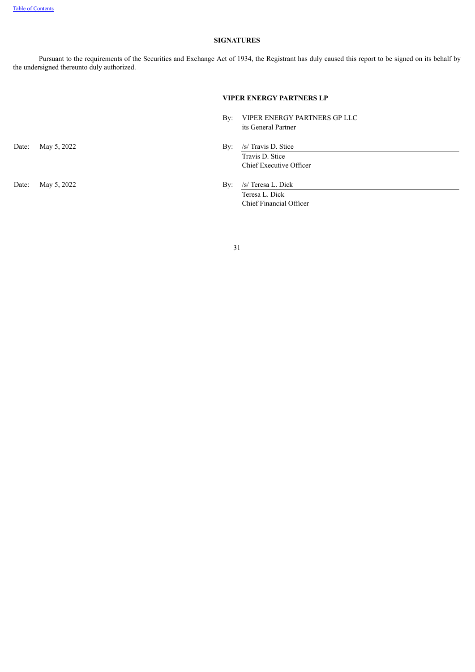# **SIGNATURES**

Pursuant to the requirements of the Securities and Exchange Act of 1934, the Registrant has duly caused this report to be signed on its behalf by the undersigned thereunto duly authorized.

#### **VIPER ENERGY PARTNERS LP**

By: VIPER ENERGY PARTNERS GP LLC its General Partner

Travis D. Stice

Chief Executive Officer

Teresa L. Dick

Chief Financial Officer

31

Date: May 5, 2022 By: /s/ Travis D. Stice

Date: May 5, 2022 By: /s/ Teresa L. Dick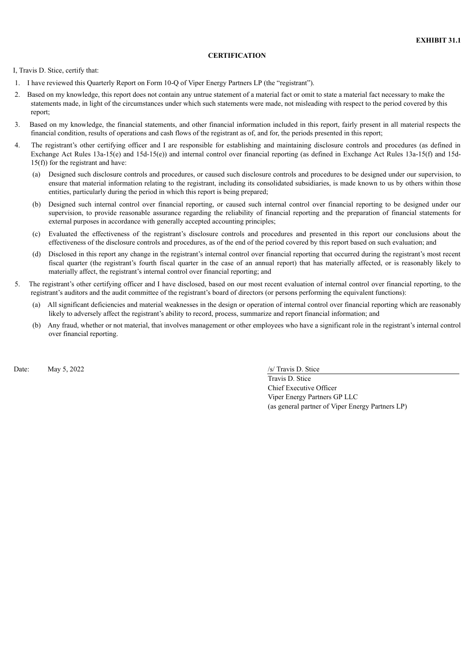#### **CERTIFICATION**

<span id="page-37-0"></span>I, Travis D. Stice, certify that:

- 1. I have reviewed this Quarterly Report on Form 10-Q of Viper Energy Partners LP (the "registrant").
- 2. Based on my knowledge, this report does not contain any untrue statement of a material fact or omit to state a material fact necessary to make the statements made, in light of the circumstances under which such statements were made, not misleading with respect to the period covered by this report;
- 3. Based on my knowledge, the financial statements, and other financial information included in this report, fairly present in all material respects the financial condition, results of operations and cash flows of the registrant as of, and for, the periods presented in this report;
- 4. The registrant's other certifying officer and I are responsible for establishing and maintaining disclosure controls and procedures (as defined in Exchange Act Rules 13a-15(e) and 15d-15(e)) and internal control over financial reporting (as defined in Exchange Act Rules 13a-15(f) and 15d-15(f)) for the registrant and have:
	- (a) Designed such disclosure controls and procedures, or caused such disclosure controls and procedures to be designed under our supervision, to ensure that material information relating to the registrant, including its consolidated subsidiaries, is made known to us by others within those entities, particularly during the period in which this report is being prepared;
	- (b) Designed such internal control over financial reporting, or caused such internal control over financial reporting to be designed under our supervision, to provide reasonable assurance regarding the reliability of financial reporting and the preparation of financial statements for external purposes in accordance with generally accepted accounting principles;
	- (c) Evaluated the effectiveness of the registrant's disclosure controls and procedures and presented in this report our conclusions about the effectiveness of the disclosure controls and procedures, as of the end of the period covered by this report based on such evaluation; and
	- (d) Disclosed in this report any change in the registrant's internal control over financial reporting that occurred during the registrant's most recent fiscal quarter (the registrant's fourth fiscal quarter in the case of an annual report) that has materially affected, or is reasonably likely to materially affect, the registrant's internal control over financial reporting; and
- 5. The registrant's other certifying officer and I have disclosed, based on our most recent evaluation of internal control over financial reporting, to the registrant's auditors and the audit committee of the registrant's board of directors (or persons performing the equivalent functions):
	- (a) All significant deficiencies and material weaknesses in the design or operation of internal control over financial reporting which are reasonably likely to adversely affect the registrant's ability to record, process, summarize and report financial information; and
	- (b) Any fraud, whether or not material, that involves management or other employees who have a significant role in the registrant's internal control over financial reporting.

Date: May 5, 2022 /s/ Travis D. Stice

Travis D. Stice Chief Executive Officer Viper Energy Partners GP LLC (as general partner of Viper Energy Partners LP)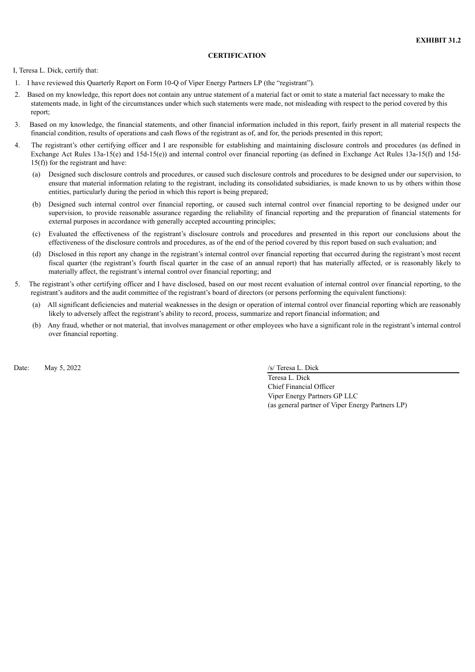#### **CERTIFICATION**

<span id="page-38-0"></span>I, Teresa L. Dick, certify that:

- 1. I have reviewed this Quarterly Report on Form 10-Q of Viper Energy Partners LP (the "registrant").
- 2. Based on my knowledge, this report does not contain any untrue statement of a material fact or omit to state a material fact necessary to make the statements made, in light of the circumstances under which such statements were made, not misleading with respect to the period covered by this report;
- 3. Based on my knowledge, the financial statements, and other financial information included in this report, fairly present in all material respects the financial condition, results of operations and cash flows of the registrant as of, and for, the periods presented in this report;
- 4. The registrant's other certifying officer and I are responsible for establishing and maintaining disclosure controls and procedures (as defined in Exchange Act Rules 13a-15(e) and 15d-15(e)) and internal control over financial reporting (as defined in Exchange Act Rules 13a-15(f) and 15d-15(f)) for the registrant and have:
	- (a) Designed such disclosure controls and procedures, or caused such disclosure controls and procedures to be designed under our supervision, to ensure that material information relating to the registrant, including its consolidated subsidiaries, is made known to us by others within those entities, particularly during the period in which this report is being prepared;
	- (b) Designed such internal control over financial reporting, or caused such internal control over financial reporting to be designed under our supervision, to provide reasonable assurance regarding the reliability of financial reporting and the preparation of financial statements for external purposes in accordance with generally accepted accounting principles;
	- (c) Evaluated the effectiveness of the registrant's disclosure controls and procedures and presented in this report our conclusions about the effectiveness of the disclosure controls and procedures, as of the end of the period covered by this report based on such evaluation; and
	- (d) Disclosed in this report any change in the registrant's internal control over financial reporting that occurred during the registrant's most recent fiscal quarter (the registrant's fourth fiscal quarter in the case of an annual report) that has materially affected, or is reasonably likely to materially affect, the registrant's internal control over financial reporting; and
- 5. The registrant's other certifying officer and I have disclosed, based on our most recent evaluation of internal control over financial reporting, to the registrant's auditors and the audit committee of the registrant's board of directors (or persons performing the equivalent functions):
	- (a) All significant deficiencies and material weaknesses in the design or operation of internal control over financial reporting which are reasonably likely to adversely affect the registrant's ability to record, process, summarize and report financial information; and
	- (b) Any fraud, whether or not material, that involves management or other employees who have a significant role in the registrant's internal control over financial reporting.

Date: May 5, 2022 /s/ Teresa L. Dick

Teresa L. Dick Chief Financial Officer Viper Energy Partners GP LLC (as general partner of Viper Energy Partners LP)